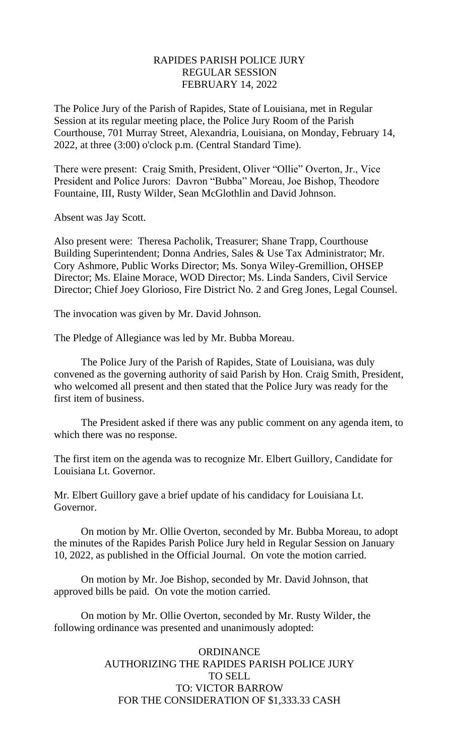# RAPIDES PARISH POLICE JURY REGULAR SESSION FEBRUARY 14, 2022

The Police Jury of the Parish of Rapides, State of Louisiana, met in Regular Session at its regular meeting place, the Police Jury Room of the Parish Courthouse, 701 Murray Street, Alexandria, Louisiana, on Monday, February 14, 2022, at three (3:00) o'clock p.m. (Central Standard Time).

There were present: Craig Smith, President, Oliver "Ollie" Overton, Jr., Vice President and Police Jurors: Davron "Bubba" Moreau, Joe Bishop, Theodore Fountaine, III, Rusty Wilder, Sean McGlothlin and David Johnson.

Absent was Jay Scott.

Also present were: Theresa Pacholik, Treasurer; Shane Trapp, Courthouse Building Superintendent; Donna Andries, Sales & Use Tax Administrator; Mr. Cory Ashmore, Public Works Director; Ms. Sonya Wiley-Gremillion, OHSEP Director; Ms. Elaine Morace, WOD Director; Ms. Linda Sanders, Civil Service Director; Chief Joey Glorioso, Fire District No. 2 and Greg Jones, Legal Counsel.

The invocation was given by Mr. David Johnson.

The Pledge of Allegiance was led by Mr. Bubba Moreau.

The Police Jury of the Parish of Rapides, State of Louisiana, was duly convened as the governing authority of said Parish by Hon. Craig Smith, President, who welcomed all present and then stated that the Police Jury was ready for the first item of business.

The President asked if there was any public comment on any agenda item, to which there was no response.

The first item on the agenda was to recognize Mr. Elbert Guillory, Candidate for Louisiana Lt. Governor.

Mr. Elbert Guillory gave a brief update of his candidacy for Louisiana Lt. Governor.

On motion by Mr. Ollie Overton, seconded by Mr. Bubba Moreau, to adopt the minutes of the Rapides Parish Police Jury held in Regular Session on January 10, 2022, as published in the Official Journal. On vote the motion carried.

On motion by Mr. Joe Bishop, seconded by Mr. David Johnson, that approved bills be paid. On vote the motion carried.

On motion by Mr. Ollie Overton, seconded by Mr. Rusty Wilder, the following ordinance was presented and unanimously adopted:

# **ORDINANCE** AUTHORIZING THE RAPIDES PARISH POLICE JURY TO SELL TO: VICTOR BARROW FOR THE CONSIDERATION OF \$1,333.33 CASH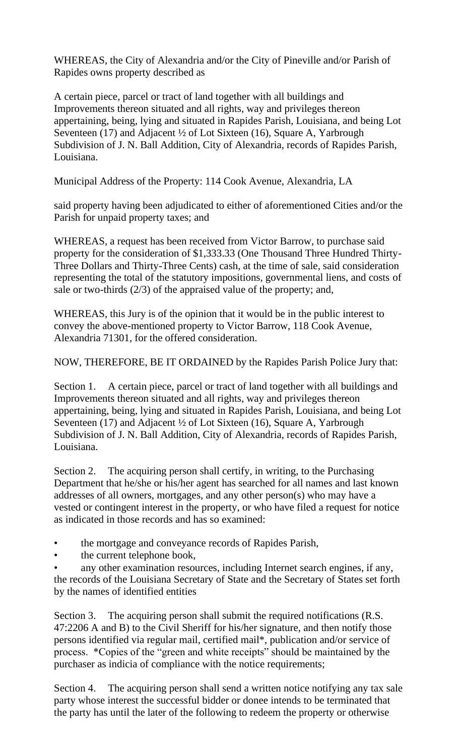WHEREAS, the City of Alexandria and/or the City of Pineville and/or Parish of Rapides owns property described as

A certain piece, parcel or tract of land together with all buildings and Improvements thereon situated and all rights, way and privileges thereon appertaining, being, lying and situated in Rapides Parish, Louisiana, and being Lot Seventeen (17) and Adjacent ½ of Lot Sixteen (16), Square A, Yarbrough Subdivision of J. N. Ball Addition, City of Alexandria, records of Rapides Parish, Louisiana.

Municipal Address of the Property: 114 Cook Avenue, Alexandria, LA

said property having been adjudicated to either of aforementioned Cities and/or the Parish for unpaid property taxes; and

WHEREAS, a request has been received from Victor Barrow, to purchase said property for the consideration of \$1,333.33 (One Thousand Three Hundred Thirty-Three Dollars and Thirty-Three Cents) cash, at the time of sale, said consideration representing the total of the statutory impositions, governmental liens, and costs of sale or two-thirds (2/3) of the appraised value of the property; and,

WHEREAS, this Jury is of the opinion that it would be in the public interest to convey the above-mentioned property to Victor Barrow, 118 Cook Avenue, Alexandria 71301, for the offered consideration.

NOW, THEREFORE, BE IT ORDAINED by the Rapides Parish Police Jury that:

Section 1. A certain piece, parcel or tract of land together with all buildings and Improvements thereon situated and all rights, way and privileges thereon appertaining, being, lying and situated in Rapides Parish, Louisiana, and being Lot Seventeen (17) and Adjacent ½ of Lot Sixteen (16), Square A, Yarbrough Subdivision of J. N. Ball Addition, City of Alexandria, records of Rapides Parish, Louisiana.

Section 2. The acquiring person shall certify, in writing, to the Purchasing Department that he/she or his/her agent has searched for all names and last known addresses of all owners, mortgages, and any other person(s) who may have a vested or contingent interest in the property, or who have filed a request for notice as indicated in those records and has so examined:

- the mortgage and conveyance records of Rapides Parish,
- the current telephone book,

any other examination resources, including Internet search engines, if any, the records of the Louisiana Secretary of State and the Secretary of States set forth by the names of identified entities

Section 3. The acquiring person shall submit the required notifications (R.S. 47:2206 A and B) to the Civil Sheriff for his/her signature, and then notify those persons identified via regular mail, certified mail\*, publication and/or service of process. \*Copies of the "green and white receipts" should be maintained by the purchaser as indicia of compliance with the notice requirements;

Section 4. The acquiring person shall send a written notice notifying any tax sale party whose interest the successful bidder or donee intends to be terminated that the party has until the later of the following to redeem the property or otherwise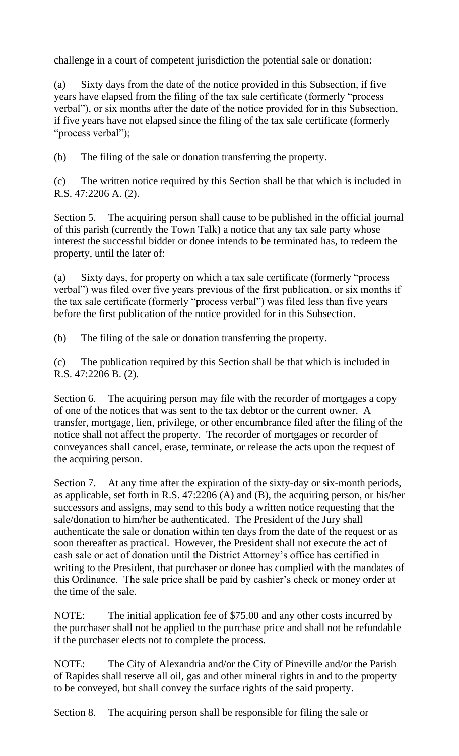challenge in a court of competent jurisdiction the potential sale or donation:

(a) Sixty days from the date of the notice provided in this Subsection, if five years have elapsed from the filing of the tax sale certificate (formerly "process verbal"), or six months after the date of the notice provided for in this Subsection, if five years have not elapsed since the filing of the tax sale certificate (formerly "process verbal");

(b) The filing of the sale or donation transferring the property.

(c) The written notice required by this Section shall be that which is included in R.S. 47:2206 A. (2).

Section 5. The acquiring person shall cause to be published in the official journal of this parish (currently the Town Talk) a notice that any tax sale party whose interest the successful bidder or donee intends to be terminated has, to redeem the property, until the later of:

(a) Sixty days, for property on which a tax sale certificate (formerly "process verbal") was filed over five years previous of the first publication, or six months if the tax sale certificate (formerly "process verbal") was filed less than five years before the first publication of the notice provided for in this Subsection.

(b) The filing of the sale or donation transferring the property.

(c) The publication required by this Section shall be that which is included in R.S. 47:2206 B. (2).

Section 6. The acquiring person may file with the recorder of mortgages a copy of one of the notices that was sent to the tax debtor or the current owner. A transfer, mortgage, lien, privilege, or other encumbrance filed after the filing of the notice shall not affect the property. The recorder of mortgages or recorder of conveyances shall cancel, erase, terminate, or release the acts upon the request of the acquiring person.

Section 7. At any time after the expiration of the sixty-day or six-month periods, as applicable, set forth in R.S. 47:2206 (A) and (B), the acquiring person, or his/her successors and assigns, may send to this body a written notice requesting that the sale/donation to him/her be authenticated. The President of the Jury shall authenticate the sale or donation within ten days from the date of the request or as soon thereafter as practical. However, the President shall not execute the act of cash sale or act of donation until the District Attorney's office has certified in writing to the President, that purchaser or donee has complied with the mandates of this Ordinance. The sale price shall be paid by cashier's check or money order at the time of the sale.

NOTE: The initial application fee of \$75.00 and any other costs incurred by the purchaser shall not be applied to the purchase price and shall not be refundable if the purchaser elects not to complete the process.

NOTE: The City of Alexandria and/or the City of Pineville and/or the Parish of Rapides shall reserve all oil, gas and other mineral rights in and to the property to be conveyed, but shall convey the surface rights of the said property.

Section 8. The acquiring person shall be responsible for filing the sale or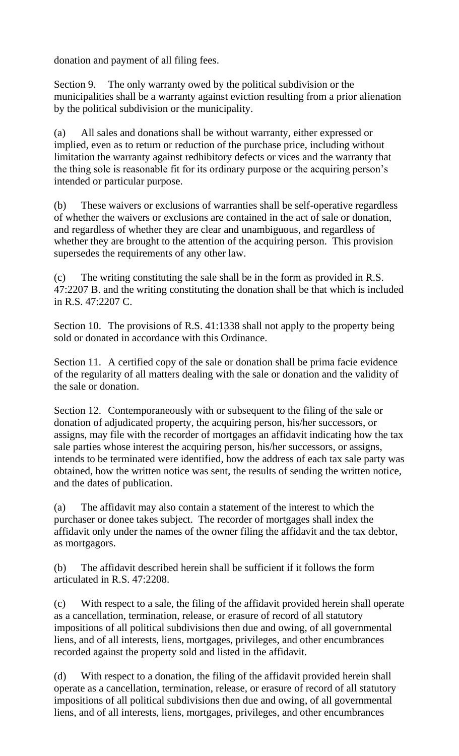donation and payment of all filing fees.

Section 9. The only warranty owed by the political subdivision or the municipalities shall be a warranty against eviction resulting from a prior alienation by the political subdivision or the municipality.

(a) All sales and donations shall be without warranty, either expressed or implied, even as to return or reduction of the purchase price, including without limitation the warranty against redhibitory defects or vices and the warranty that the thing sole is reasonable fit for its ordinary purpose or the acquiring person's intended or particular purpose.

(b) These waivers or exclusions of warranties shall be self-operative regardless of whether the waivers or exclusions are contained in the act of sale or donation, and regardless of whether they are clear and unambiguous, and regardless of whether they are brought to the attention of the acquiring person. This provision supersedes the requirements of any other law.

(c) The writing constituting the sale shall be in the form as provided in R.S. 47:2207 B. and the writing constituting the donation shall be that which is included in R.S. 47:2207 C.

Section 10. The provisions of R.S. 41:1338 shall not apply to the property being sold or donated in accordance with this Ordinance.

Section 11. A certified copy of the sale or donation shall be prima facie evidence of the regularity of all matters dealing with the sale or donation and the validity of the sale or donation.

Section 12. Contemporaneously with or subsequent to the filing of the sale or donation of adjudicated property, the acquiring person, his/her successors, or assigns, may file with the recorder of mortgages an affidavit indicating how the tax sale parties whose interest the acquiring person, his/her successors, or assigns, intends to be terminated were identified, how the address of each tax sale party was obtained, how the written notice was sent, the results of sending the written notice, and the dates of publication.

(a) The affidavit may also contain a statement of the interest to which the purchaser or donee takes subject. The recorder of mortgages shall index the affidavit only under the names of the owner filing the affidavit and the tax debtor, as mortgagors.

(b) The affidavit described herein shall be sufficient if it follows the form articulated in R.S. 47:2208.

(c) With respect to a sale, the filing of the affidavit provided herein shall operate as a cancellation, termination, release, or erasure of record of all statutory impositions of all political subdivisions then due and owing, of all governmental liens, and of all interests, liens, mortgages, privileges, and other encumbrances recorded against the property sold and listed in the affidavit.

(d) With respect to a donation, the filing of the affidavit provided herein shall operate as a cancellation, termination, release, or erasure of record of all statutory impositions of all political subdivisions then due and owing, of all governmental liens, and of all interests, liens, mortgages, privileges, and other encumbrances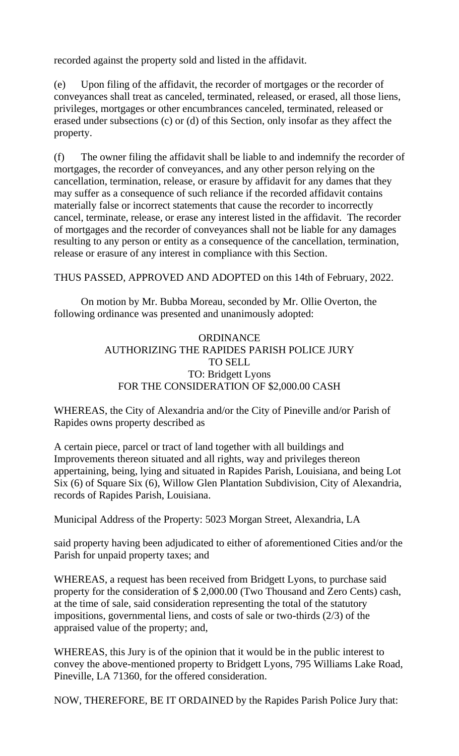recorded against the property sold and listed in the affidavit.

(e) Upon filing of the affidavit, the recorder of mortgages or the recorder of conveyances shall treat as canceled, terminated, released, or erased, all those liens, privileges, mortgages or other encumbrances canceled, terminated, released or erased under subsections (c) or (d) of this Section, only insofar as they affect the property.

(f) The owner filing the affidavit shall be liable to and indemnify the recorder of mortgages, the recorder of conveyances, and any other person relying on the cancellation, termination, release, or erasure by affidavit for any dames that they may suffer as a consequence of such reliance if the recorded affidavit contains materially false or incorrect statements that cause the recorder to incorrectly cancel, terminate, release, or erase any interest listed in the affidavit. The recorder of mortgages and the recorder of conveyances shall not be liable for any damages resulting to any person or entity as a consequence of the cancellation, termination, release or erasure of any interest in compliance with this Section.

THUS PASSED, APPROVED AND ADOPTED on this 14th of February, 2022.

On motion by Mr. Bubba Moreau, seconded by Mr. Ollie Overton, the following ordinance was presented and unanimously adopted:

# **ORDINANCE** AUTHORIZING THE RAPIDES PARISH POLICE JURY TO SELL TO: Bridgett Lyons FOR THE CONSIDERATION OF \$2,000.00 CASH

WHEREAS, the City of Alexandria and/or the City of Pineville and/or Parish of Rapides owns property described as

A certain piece, parcel or tract of land together with all buildings and Improvements thereon situated and all rights, way and privileges thereon appertaining, being, lying and situated in Rapides Parish, Louisiana, and being Lot Six (6) of Square Six (6), Willow Glen Plantation Subdivision, City of Alexandria, records of Rapides Parish, Louisiana.

Municipal Address of the Property: 5023 Morgan Street, Alexandria, LA

said property having been adjudicated to either of aforementioned Cities and/or the Parish for unpaid property taxes; and

WHEREAS, a request has been received from Bridgett Lyons, to purchase said property for the consideration of \$ 2,000.00 (Two Thousand and Zero Cents) cash, at the time of sale, said consideration representing the total of the statutory impositions, governmental liens, and costs of sale or two-thirds (2/3) of the appraised value of the property; and,

WHEREAS, this Jury is of the opinion that it would be in the public interest to convey the above-mentioned property to Bridgett Lyons, 795 Williams Lake Road, Pineville, LA 71360, for the offered consideration.

NOW, THEREFORE, BE IT ORDAINED by the Rapides Parish Police Jury that: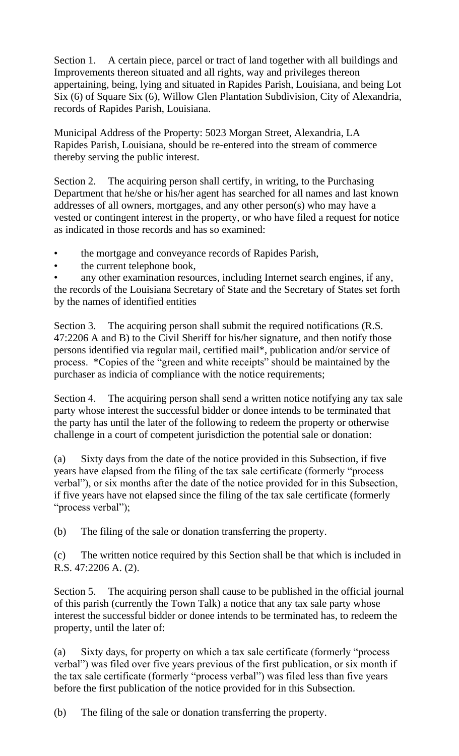Section 1. A certain piece, parcel or tract of land together with all buildings and Improvements thereon situated and all rights, way and privileges thereon appertaining, being, lying and situated in Rapides Parish, Louisiana, and being Lot Six (6) of Square Six (6), Willow Glen Plantation Subdivision, City of Alexandria, records of Rapides Parish, Louisiana.

Municipal Address of the Property: 5023 Morgan Street, Alexandria, LA Rapides Parish, Louisiana, should be re-entered into the stream of commerce thereby serving the public interest.

Section 2. The acquiring person shall certify, in writing, to the Purchasing Department that he/she or his/her agent has searched for all names and last known addresses of all owners, mortgages, and any other person(s) who may have a vested or contingent interest in the property, or who have filed a request for notice as indicated in those records and has so examined:

• the mortgage and conveyance records of Rapides Parish,

the current telephone book,

any other examination resources, including Internet search engines, if any, the records of the Louisiana Secretary of State and the Secretary of States set forth by the names of identified entities

Section 3. The acquiring person shall submit the required notifications (R.S. 47:2206 A and B) to the Civil Sheriff for his/her signature, and then notify those persons identified via regular mail, certified mail\*, publication and/or service of process. \*Copies of the "green and white receipts" should be maintained by the purchaser as indicia of compliance with the notice requirements;

Section 4. The acquiring person shall send a written notice notifying any tax sale party whose interest the successful bidder or donee intends to be terminated that the party has until the later of the following to redeem the property or otherwise challenge in a court of competent jurisdiction the potential sale or donation:

(a) Sixty days from the date of the notice provided in this Subsection, if five years have elapsed from the filing of the tax sale certificate (formerly "process verbal"), or six months after the date of the notice provided for in this Subsection, if five years have not elapsed since the filing of the tax sale certificate (formerly "process verbal");

(b) The filing of the sale or donation transferring the property.

(c) The written notice required by this Section shall be that which is included in R.S. 47:2206 A. (2).

Section 5. The acquiring person shall cause to be published in the official journal of this parish (currently the Town Talk) a notice that any tax sale party whose interest the successful bidder or donee intends to be terminated has, to redeem the property, until the later of:

(a) Sixty days, for property on which a tax sale certificate (formerly "process verbal") was filed over five years previous of the first publication, or six month if the tax sale certificate (formerly "process verbal") was filed less than five years before the first publication of the notice provided for in this Subsection.

(b) The filing of the sale or donation transferring the property.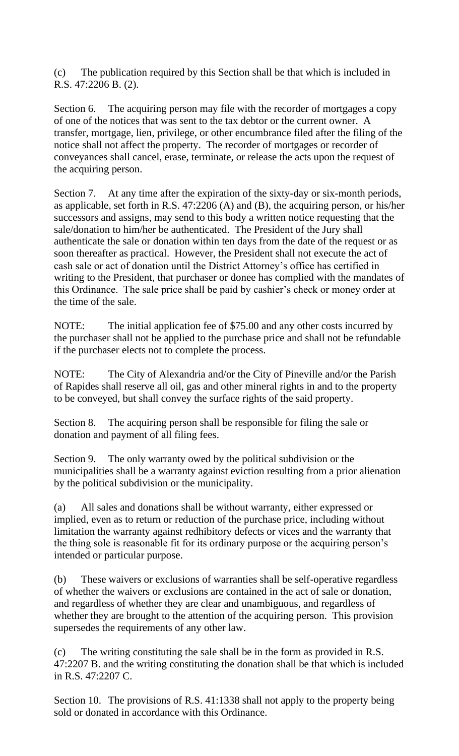(c) The publication required by this Section shall be that which is included in R.S. 47:2206 B. (2).

Section 6. The acquiring person may file with the recorder of mortgages a copy of one of the notices that was sent to the tax debtor or the current owner. A transfer, mortgage, lien, privilege, or other encumbrance filed after the filing of the notice shall not affect the property. The recorder of mortgages or recorder of conveyances shall cancel, erase, terminate, or release the acts upon the request of the acquiring person.

Section 7. At any time after the expiration of the sixty-day or six-month periods, as applicable, set forth in R.S. 47:2206 (A) and (B), the acquiring person, or his/her successors and assigns, may send to this body a written notice requesting that the sale/donation to him/her be authenticated. The President of the Jury shall authenticate the sale or donation within ten days from the date of the request or as soon thereafter as practical. However, the President shall not execute the act of cash sale or act of donation until the District Attorney's office has certified in writing to the President, that purchaser or donee has complied with the mandates of this Ordinance. The sale price shall be paid by cashier's check or money order at the time of the sale.

NOTE: The initial application fee of \$75.00 and any other costs incurred by the purchaser shall not be applied to the purchase price and shall not be refundable if the purchaser elects not to complete the process.

NOTE: The City of Alexandria and/or the City of Pineville and/or the Parish of Rapides shall reserve all oil, gas and other mineral rights in and to the property to be conveyed, but shall convey the surface rights of the said property.

Section 8. The acquiring person shall be responsible for filing the sale or donation and payment of all filing fees.

Section 9. The only warranty owed by the political subdivision or the municipalities shall be a warranty against eviction resulting from a prior alienation by the political subdivision or the municipality.

(a) All sales and donations shall be without warranty, either expressed or implied, even as to return or reduction of the purchase price, including without limitation the warranty against redhibitory defects or vices and the warranty that the thing sole is reasonable fit for its ordinary purpose or the acquiring person's intended or particular purpose.

(b) These waivers or exclusions of warranties shall be self-operative regardless of whether the waivers or exclusions are contained in the act of sale or donation, and regardless of whether they are clear and unambiguous, and regardless of whether they are brought to the attention of the acquiring person. This provision supersedes the requirements of any other law.

(c) The writing constituting the sale shall be in the form as provided in R.S. 47:2207 B. and the writing constituting the donation shall be that which is included in R.S. 47:2207 C.

Section 10. The provisions of R.S. 41:1338 shall not apply to the property being sold or donated in accordance with this Ordinance.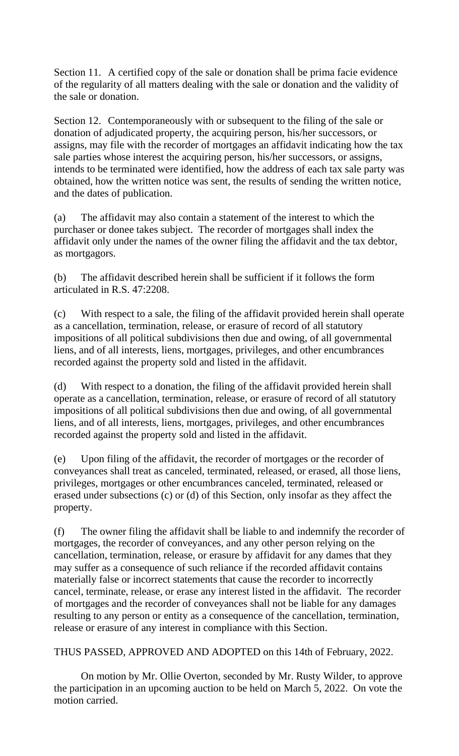Section 11. A certified copy of the sale or donation shall be prima facie evidence of the regularity of all matters dealing with the sale or donation and the validity of the sale or donation.

Section 12. Contemporaneously with or subsequent to the filing of the sale or donation of adjudicated property, the acquiring person, his/her successors, or assigns, may file with the recorder of mortgages an affidavit indicating how the tax sale parties whose interest the acquiring person, his/her successors, or assigns, intends to be terminated were identified, how the address of each tax sale party was obtained, how the written notice was sent, the results of sending the written notice, and the dates of publication.

(a) The affidavit may also contain a statement of the interest to which the purchaser or donee takes subject. The recorder of mortgages shall index the affidavit only under the names of the owner filing the affidavit and the tax debtor, as mortgagors.

(b) The affidavit described herein shall be sufficient if it follows the form articulated in R.S. 47:2208.

(c) With respect to a sale, the filing of the affidavit provided herein shall operate as a cancellation, termination, release, or erasure of record of all statutory impositions of all political subdivisions then due and owing, of all governmental liens, and of all interests, liens, mortgages, privileges, and other encumbrances recorded against the property sold and listed in the affidavit.

(d) With respect to a donation, the filing of the affidavit provided herein shall operate as a cancellation, termination, release, or erasure of record of all statutory impositions of all political subdivisions then due and owing, of all governmental liens, and of all interests, liens, mortgages, privileges, and other encumbrances recorded against the property sold and listed in the affidavit.

(e) Upon filing of the affidavit, the recorder of mortgages or the recorder of conveyances shall treat as canceled, terminated, released, or erased, all those liens, privileges, mortgages or other encumbrances canceled, terminated, released or erased under subsections (c) or (d) of this Section, only insofar as they affect the property.

(f) The owner filing the affidavit shall be liable to and indemnify the recorder of mortgages, the recorder of conveyances, and any other person relying on the cancellation, termination, release, or erasure by affidavit for any dames that they may suffer as a consequence of such reliance if the recorded affidavit contains materially false or incorrect statements that cause the recorder to incorrectly cancel, terminate, release, or erase any interest listed in the affidavit. The recorder of mortgages and the recorder of conveyances shall not be liable for any damages resulting to any person or entity as a consequence of the cancellation, termination, release or erasure of any interest in compliance with this Section.

THUS PASSED, APPROVED AND ADOPTED on this 14th of February, 2022.

On motion by Mr. Ollie Overton, seconded by Mr. Rusty Wilder, to approve the participation in an upcoming auction to be held on March 5, 2022. On vote the motion carried.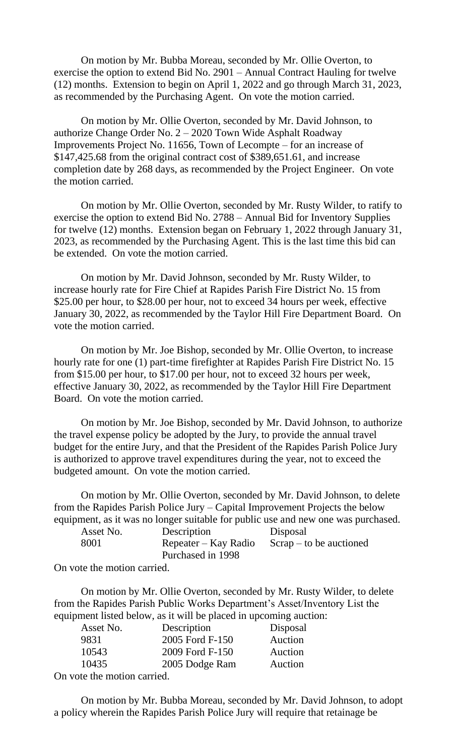On motion by Mr. Bubba Moreau, seconded by Mr. Ollie Overton, to exercise the option to extend Bid No. 2901 – Annual Contract Hauling for twelve (12) months. Extension to begin on April 1, 2022 and go through March 31, 2023, as recommended by the Purchasing Agent. On vote the motion carried.

On motion by Mr. Ollie Overton, seconded by Mr. David Johnson, to authorize Change Order No. 2 – 2020 Town Wide Asphalt Roadway Improvements Project No. 11656, Town of Lecompte – for an increase of \$147,425.68 from the original contract cost of \$389,651.61, and increase completion date by 268 days, as recommended by the Project Engineer. On vote the motion carried.

On motion by Mr. Ollie Overton, seconded by Mr. Rusty Wilder, to ratify to exercise the option to extend Bid No. 2788 – Annual Bid for Inventory Supplies for twelve (12) months. Extension began on February 1, 2022 through January 31, 2023, as recommended by the Purchasing Agent. This is the last time this bid can be extended. On vote the motion carried.

On motion by Mr. David Johnson, seconded by Mr. Rusty Wilder, to increase hourly rate for Fire Chief at Rapides Parish Fire District No. 15 from \$25.00 per hour, to \$28.00 per hour, not to exceed 34 hours per week, effective January 30, 2022, as recommended by the Taylor Hill Fire Department Board. On vote the motion carried.

On motion by Mr. Joe Bishop, seconded by Mr. Ollie Overton, to increase hourly rate for one (1) part-time firefighter at Rapides Parish Fire District No. 15 from \$15.00 per hour, to \$17.00 per hour, not to exceed 32 hours per week, effective January 30, 2022, as recommended by the Taylor Hill Fire Department Board. On vote the motion carried.

On motion by Mr. Joe Bishop, seconded by Mr. David Johnson, to authorize the travel expense policy be adopted by the Jury, to provide the annual travel budget for the entire Jury, and that the President of the Rapides Parish Police Jury is authorized to approve travel expenditures during the year, not to exceed the budgeted amount. On vote the motion carried.

On motion by Mr. Ollie Overton, seconded by Mr. David Johnson, to delete from the Rapides Parish Police Jury – Capital Improvement Projects the below equipment, as it was no longer suitable for public use and new one was purchased.

|                      | Disposal                  |
|----------------------|---------------------------|
| Repeater – Kay Radio | $Scrap - to be auctioned$ |
| Purchased in 1998    |                           |
|                      | Description               |

On vote the motion carried.

On motion by Mr. Ollie Overton, seconded by Mr. Rusty Wilder, to delete from the Rapides Parish Public Works Department's Asset/Inventory List the equipment listed below, as it will be placed in upcoming auction:

| Asset No.                 | Description     | Disposal |
|---------------------------|-----------------|----------|
| 9831                      | 2005 Ford F-150 | Auction  |
| 10543                     | 2009 Ford F-150 | Auction  |
| 10435                     | 2005 Dodge Ram  | Auction  |
| n vote the motion carried |                 |          |

On vote the motion carried.

On motion by Mr. Bubba Moreau, seconded by Mr. David Johnson, to adopt a policy wherein the Rapides Parish Police Jury will require that retainage be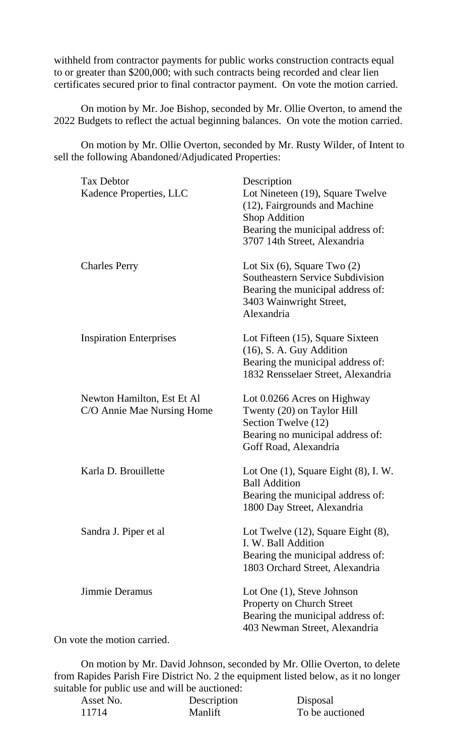withheld from contractor payments for public works construction contracts equal to or greater than \$200,000; with such contracts being recorded and clear lien certificates secured prior to final contractor payment. On vote the motion carried.

On motion by Mr. Joe Bishop, seconded by Mr. Ollie Overton, to amend the 2022 Budgets to reflect the actual beginning balances. On vote the motion carried.

On motion by Mr. Ollie Overton, seconded by Mr. Rusty Wilder, of Intent to sell the following Abandoned/Adjudicated Properties:

| <b>Tax Debtor</b>                                        | Description                                                                                                                                               |
|----------------------------------------------------------|-----------------------------------------------------------------------------------------------------------------------------------------------------------|
| Kadence Properties, LLC                                  | Lot Nineteen (19), Square Twelve<br>(12), Fairgrounds and Machine<br><b>Shop Addition</b>                                                                 |
|                                                          | Bearing the municipal address of:<br>3707 14th Street, Alexandria                                                                                         |
| <b>Charles Perry</b>                                     | Lot Six $(6)$ , Square Two $(2)$<br><b>Southeastern Service Subdivision</b><br>Bearing the municipal address of:<br>3403 Wainwright Street,<br>Alexandria |
| <b>Inspiration Enterprises</b>                           | Lot Fifteen (15), Square Sixteen<br>$(16)$ , S. A. Guy Addition<br>Bearing the municipal address of:<br>1832 Rensselaer Street, Alexandria                |
| Newton Hamilton, Est Et Al<br>C/O Annie Mae Nursing Home | Lot 0.0266 Acres on Highway<br>Twenty (20) on Taylor Hill<br>Section Twelve (12)<br>Bearing no municipal address of:<br>Goff Road, Alexandria             |
| Karla D. Brouillette                                     | Lot One $(1)$ , Square Eight $(8)$ , I. W.<br><b>Ball Addition</b><br>Bearing the municipal address of:<br>1800 Day Street, Alexandria                    |
| Sandra J. Piper et al                                    | Lot Twelve (12), Square Eight (8),<br>I. W. Ball Addition<br>Bearing the municipal address of:<br>1803 Orchard Street, Alexandria                         |
| Jimmie Deramus                                           | Lot One (1), Steve Johnson<br>Property on Church Street<br>Bearing the municipal address of:<br>403 Newman Street, Alexandria                             |

On vote the motion carried.

On motion by Mr. David Johnson, seconded by Mr. Ollie Overton, to delete from Rapides Parish Fire District No. 2 the equipment listed below, as it no longer suitable for public use and will be auctioned:

| $\sigma$ can public use and will be additioned. |             |                 |
|-------------------------------------------------|-------------|-----------------|
| Asset No.                                       | Description | Disposal        |
| 11714                                           | Manlift     | To be auctioned |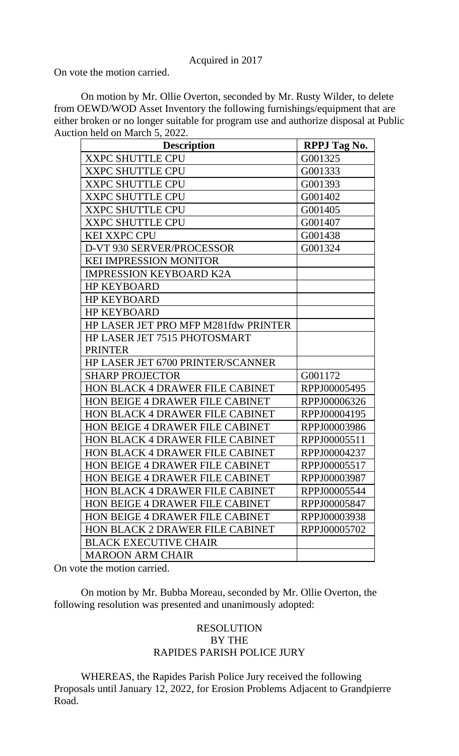Acquired in 2017

On vote the motion carried.

On motion by Mr. Ollie Overton, seconded by Mr. Rusty Wilder, to delete from OEWD/WOD Asset Inventory the following furnishings/equipment that are either broken or no longer suitable for program use and authorize disposal at Public Auction held on March 5, 2022.

| <b>Description</b>                     | <b>RPPJ</b> Tag No. |
|----------------------------------------|---------------------|
| <b>XXPC SHUTTLE CPU</b>                | G001325             |
| <b>XXPC SHUTTLE CPU</b>                | G001333             |
| <b>XXPC SHUTTLE CPU</b>                | G001393             |
| <b>XXPC SHUTTLE CPU</b>                | G001402             |
| <b>XXPC SHUTTLE CPU</b>                | G001405             |
| <b>XXPC SHUTTLE CPU</b>                | G001407             |
| <b>KEI XXPC CPU</b>                    | G001438             |
| D-VT 930 SERVER/PROCESSOR              | G001324             |
| KEI IMPRESSION MONITOR                 |                     |
| <b>IMPRESSION KEYBOARD K2A</b>         |                     |
| <b>HP KEYBOARD</b>                     |                     |
| <b>HP KEYBOARD</b>                     |                     |
| <b>HP KEYBOARD</b>                     |                     |
| HP LASER JET PRO MFP M281fdw PRINTER   |                     |
| HP LASER JET 7515 PHOTOSMART           |                     |
| <b>PRINTER</b>                         |                     |
| HP LASER JET 6700 PRINTER/SCANNER      |                     |
| <b>SHARP PROJECTOR</b>                 | G001172             |
| HON BLACK 4 DRAWER FILE CABINET        | RPPJ00005495        |
| <b>HON BEIGE 4 DRAWER FILE CABINET</b> | RPPJ00006326        |
| <b>HON BLACK 4 DRAWER FILE CABINET</b> | RPPJ00004195        |
| <b>HON BEIGE 4 DRAWER FILE CABINET</b> | RPPJ00003986        |
| <b>HON BLACK 4 DRAWER FILE CABINET</b> | RPPJ00005511        |
| <b>HON BLACK 4 DRAWER FILE CABINET</b> | RPPJ00004237        |
| <b>HON BEIGE 4 DRAWER FILE CABINET</b> | RPPJ00005517        |
| HON BEIGE 4 DRAWER FILE CABINET        | RPPJ00003987        |
| <b>HON BLACK 4 DRAWER FILE CABINET</b> | RPPJ00005544        |
| <b>HON BEIGE 4 DRAWER FILE CABINET</b> | RPPJ00005847        |
| <b>HON BEIGE 4 DRAWER FILE CABINET</b> | RPPJ00003938        |
| <b>HON BLACK 2 DRAWER FILE CABINET</b> | RPPJ00005702        |
| <b>BLACK EXECUTIVE CHAIR</b>           |                     |
| <b>MAROON ARM CHAIR</b>                |                     |

On vote the motion carried.

On motion by Mr. Bubba Moreau, seconded by Mr. Ollie Overton, the following resolution was presented and unanimously adopted:

# RESOLUTION BY THE RAPIDES PARISH POLICE JURY

WHEREAS, the Rapides Parish Police Jury received the following Proposals until January 12, 2022, for Erosion Problems Adjacent to Grandpierre Road.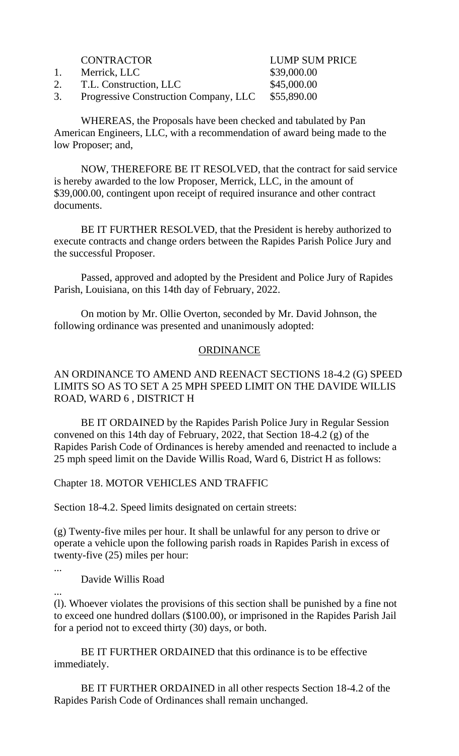- 1. Merrick, LLC \$39,000.00
- 2. T.L. Construction, LLC \$45,000.00

CONTRACTOR LUMP SUM PRICE

3. Progressive Construction Company, LLC \$55,890.00

WHEREAS, the Proposals have been checked and tabulated by Pan American Engineers, LLC, with a recommendation of award being made to the low Proposer; and,

NOW, THEREFORE BE IT RESOLVED, that the contract for said service is hereby awarded to the low Proposer, Merrick, LLC, in the amount of \$39,000.00, contingent upon receipt of required insurance and other contract documents.

BE IT FURTHER RESOLVED, that the President is hereby authorized to execute contracts and change orders between the Rapides Parish Police Jury and the successful Proposer.

Passed, approved and adopted by the President and Police Jury of Rapides Parish, Louisiana, on this 14th day of February, 2022.

On motion by Mr. Ollie Overton, seconded by Mr. David Johnson, the following ordinance was presented and unanimously adopted:

### ORDINANCE

# AN ORDINANCE TO AMEND AND REENACT SECTIONS 18-4.2 (G) SPEED LIMITS SO AS TO SET A 25 MPH SPEED LIMIT ON THE DAVIDE WILLIS ROAD, WARD 6 , DISTRICT H

BE IT ORDAINED by the Rapides Parish Police Jury in Regular Session convened on this 14th day of February, 2022, that Section 18-4.2 (g) of the Rapides Parish Code of Ordinances is hereby amended and reenacted to include a 25 mph speed limit on the Davide Willis Road, Ward 6, District H as follows:

Chapter 18. MOTOR VEHICLES AND TRAFFIC

Section 18-4.2. Speed limits designated on certain streets:

(g) Twenty-five miles per hour. It shall be unlawful for any person to drive or operate a vehicle upon the following parish roads in Rapides Parish in excess of twenty-five (25) miles per hour:

...

Davide Willis Road

...

(l). Whoever violates the provisions of this section shall be punished by a fine not to exceed one hundred dollars (\$100.00), or imprisoned in the Rapides Parish Jail for a period not to exceed thirty (30) days, or both.

BE IT FURTHER ORDAINED that this ordinance is to be effective immediately.

BE IT FURTHER ORDAINED in all other respects Section 18-4.2 of the Rapides Parish Code of Ordinances shall remain unchanged.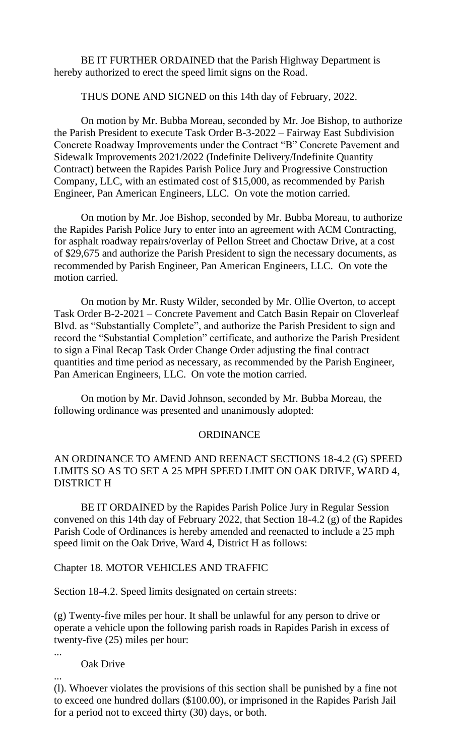BE IT FURTHER ORDAINED that the Parish Highway Department is hereby authorized to erect the speed limit signs on the Road.

THUS DONE AND SIGNED on this 14th day of February, 2022.

On motion by Mr. Bubba Moreau, seconded by Mr. Joe Bishop, to authorize the Parish President to execute Task Order B-3-2022 – Fairway East Subdivision Concrete Roadway Improvements under the Contract "B" Concrete Pavement and Sidewalk Improvements 2021/2022 (Indefinite Delivery/Indefinite Quantity Contract) between the Rapides Parish Police Jury and Progressive Construction Company, LLC, with an estimated cost of \$15,000, as recommended by Parish Engineer, Pan American Engineers, LLC. On vote the motion carried.

On motion by Mr. Joe Bishop, seconded by Mr. Bubba Moreau, to authorize the Rapides Parish Police Jury to enter into an agreement with ACM Contracting, for asphalt roadway repairs/overlay of Pellon Street and Choctaw Drive, at a cost of \$29,675 and authorize the Parish President to sign the necessary documents, as recommended by Parish Engineer, Pan American Engineers, LLC. On vote the motion carried.

On motion by Mr. Rusty Wilder, seconded by Mr. Ollie Overton, to accept Task Order B-2-2021 – Concrete Pavement and Catch Basin Repair on Cloverleaf Blvd. as "Substantially Complete", and authorize the Parish President to sign and record the "Substantial Completion" certificate, and authorize the Parish President to sign a Final Recap Task Order Change Order adjusting the final contract quantities and time period as necessary, as recommended by the Parish Engineer, Pan American Engineers, LLC. On vote the motion carried.

On motion by Mr. David Johnson, seconded by Mr. Bubba Moreau, the following ordinance was presented and unanimously adopted:

#### **ORDINANCE**

### AN ORDINANCE TO AMEND AND REENACT SECTIONS 18-4.2 (G) SPEED LIMITS SO AS TO SET A 25 MPH SPEED LIMIT ON OAK DRIVE, WARD 4, DISTRICT H

BE IT ORDAINED by the Rapides Parish Police Jury in Regular Session convened on this 14th day of February 2022, that Section 18-4.2 (g) of the Rapides Parish Code of Ordinances is hereby amended and reenacted to include a 25 mph speed limit on the Oak Drive, Ward 4, District H as follows:

Chapter 18. MOTOR VEHICLES AND TRAFFIC

Section 18-4.2. Speed limits designated on certain streets:

(g) Twenty-five miles per hour. It shall be unlawful for any person to drive or operate a vehicle upon the following parish roads in Rapides Parish in excess of twenty-five (25) miles per hour:

...

...

Oak Drive

(l). Whoever violates the provisions of this section shall be punished by a fine not to exceed one hundred dollars (\$100.00), or imprisoned in the Rapides Parish Jail for a period not to exceed thirty (30) days, or both.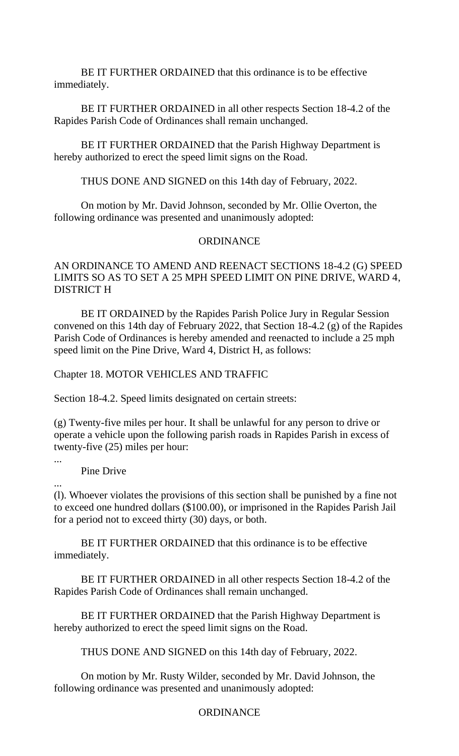BE IT FURTHER ORDAINED that this ordinance is to be effective immediately.

BE IT FURTHER ORDAINED in all other respects Section 18-4.2 of the Rapides Parish Code of Ordinances shall remain unchanged.

BE IT FURTHER ORDAINED that the Parish Highway Department is hereby authorized to erect the speed limit signs on the Road.

THUS DONE AND SIGNED on this 14th day of February, 2022.

On motion by Mr. David Johnson, seconded by Mr. Ollie Overton, the following ordinance was presented and unanimously adopted:

### **ORDINANCE**

# AN ORDINANCE TO AMEND AND REENACT SECTIONS 18-4.2 (G) SPEED LIMITS SO AS TO SET A 25 MPH SPEED LIMIT ON PINE DRIVE, WARD 4, DISTRICT H

BE IT ORDAINED by the Rapides Parish Police Jury in Regular Session convened on this 14th day of February 2022, that Section 18-4.2 (g) of the Rapides Parish Code of Ordinances is hereby amended and reenacted to include a 25 mph speed limit on the Pine Drive, Ward 4, District H, as follows:

### Chapter 18. MOTOR VEHICLES AND TRAFFIC

Section 18-4.2. Speed limits designated on certain streets:

(g) Twenty-five miles per hour. It shall be unlawful for any person to drive or operate a vehicle upon the following parish roads in Rapides Parish in excess of twenty-five (25) miles per hour:

...

Pine Drive

...

(l). Whoever violates the provisions of this section shall be punished by a fine not to exceed one hundred dollars (\$100.00), or imprisoned in the Rapides Parish Jail for a period not to exceed thirty (30) days, or both.

BE IT FURTHER ORDAINED that this ordinance is to be effective immediately.

BE IT FURTHER ORDAINED in all other respects Section 18-4.2 of the Rapides Parish Code of Ordinances shall remain unchanged.

BE IT FURTHER ORDAINED that the Parish Highway Department is hereby authorized to erect the speed limit signs on the Road.

THUS DONE AND SIGNED on this 14th day of February, 2022.

On motion by Mr. Rusty Wilder, seconded by Mr. David Johnson, the following ordinance was presented and unanimously adopted:

# ORDINANCE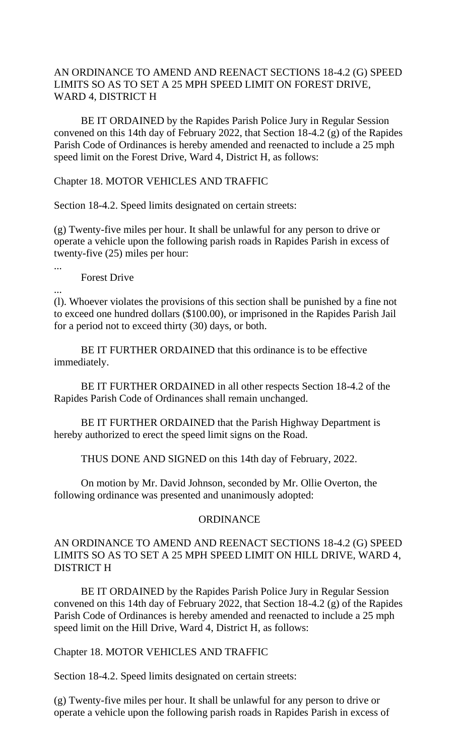# AN ORDINANCE TO AMEND AND REENACT SECTIONS 18-4.2 (G) SPEED LIMITS SO AS TO SET A 25 MPH SPEED LIMIT ON FOREST DRIVE, WARD 4, DISTRICT H

BE IT ORDAINED by the Rapides Parish Police Jury in Regular Session convened on this 14th day of February 2022, that Section 18-4.2 (g) of the Rapides Parish Code of Ordinances is hereby amended and reenacted to include a 25 mph speed limit on the Forest Drive, Ward 4, District H, as follows:

### Chapter 18. MOTOR VEHICLES AND TRAFFIC

Section 18-4.2. Speed limits designated on certain streets:

(g) Twenty-five miles per hour. It shall be unlawful for any person to drive or operate a vehicle upon the following parish roads in Rapides Parish in excess of twenty-five (25) miles per hour:

Forest Drive

...

...

(l). Whoever violates the provisions of this section shall be punished by a fine not to exceed one hundred dollars (\$100.00), or imprisoned in the Rapides Parish Jail for a period not to exceed thirty (30) days, or both.

BE IT FURTHER ORDAINED that this ordinance is to be effective immediately.

BE IT FURTHER ORDAINED in all other respects Section 18-4.2 of the Rapides Parish Code of Ordinances shall remain unchanged.

BE IT FURTHER ORDAINED that the Parish Highway Department is hereby authorized to erect the speed limit signs on the Road.

THUS DONE AND SIGNED on this 14th day of February, 2022.

On motion by Mr. David Johnson, seconded by Mr. Ollie Overton, the following ordinance was presented and unanimously adopted:

#### ORDINANCE

# AN ORDINANCE TO AMEND AND REENACT SECTIONS 18-4.2 (G) SPEED LIMITS SO AS TO SET A 25 MPH SPEED LIMIT ON HILL DRIVE, WARD 4, DISTRICT H

BE IT ORDAINED by the Rapides Parish Police Jury in Regular Session convened on this 14th day of February 2022, that Section 18-4.2 (g) of the Rapides Parish Code of Ordinances is hereby amended and reenacted to include a 25 mph speed limit on the Hill Drive, Ward 4, District H, as follows:

# Chapter 18. MOTOR VEHICLES AND TRAFFIC

Section 18-4.2. Speed limits designated on certain streets:

(g) Twenty-five miles per hour. It shall be unlawful for any person to drive or operate a vehicle upon the following parish roads in Rapides Parish in excess of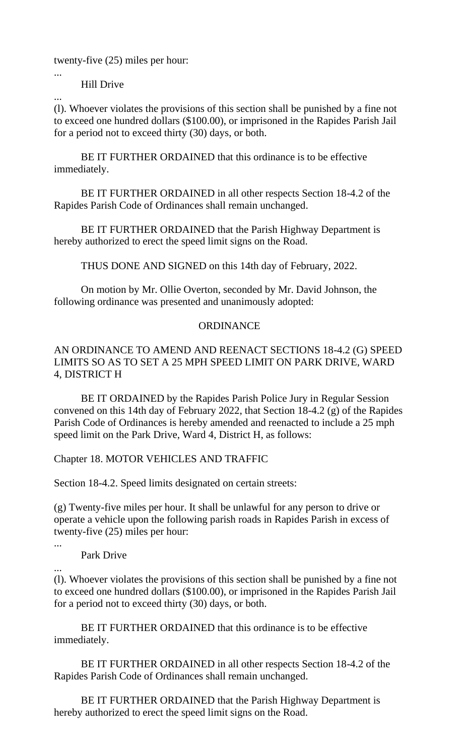twenty-five (25) miles per hour:

Hill Drive

...

... (l). Whoever violates the provisions of this section shall be punished by a fine not to exceed one hundred dollars (\$100.00), or imprisoned in the Rapides Parish Jail for a period not to exceed thirty (30) days, or both.

BE IT FURTHER ORDAINED that this ordinance is to be effective immediately.

BE IT FURTHER ORDAINED in all other respects Section 18-4.2 of the Rapides Parish Code of Ordinances shall remain unchanged.

BE IT FURTHER ORDAINED that the Parish Highway Department is hereby authorized to erect the speed limit signs on the Road.

THUS DONE AND SIGNED on this 14th day of February, 2022.

On motion by Mr. Ollie Overton, seconded by Mr. David Johnson, the following ordinance was presented and unanimously adopted:

# ORDINANCE

# AN ORDINANCE TO AMEND AND REENACT SECTIONS 18-4.2 (G) SPEED LIMITS SO AS TO SET A 25 MPH SPEED LIMIT ON PARK DRIVE, WARD 4, DISTRICT H

BE IT ORDAINED by the Rapides Parish Police Jury in Regular Session convened on this 14th day of February 2022, that Section 18-4.2 (g) of the Rapides Parish Code of Ordinances is hereby amended and reenacted to include a 25 mph speed limit on the Park Drive, Ward 4, District H, as follows:

Chapter 18. MOTOR VEHICLES AND TRAFFIC

Section 18-4.2. Speed limits designated on certain streets:

(g) Twenty-five miles per hour. It shall be unlawful for any person to drive or operate a vehicle upon the following parish roads in Rapides Parish in excess of twenty-five (25) miles per hour:

...

Park Drive

...

(l). Whoever violates the provisions of this section shall be punished by a fine not to exceed one hundred dollars (\$100.00), or imprisoned in the Rapides Parish Jail for a period not to exceed thirty (30) days, or both.

BE IT FURTHER ORDAINED that this ordinance is to be effective immediately.

BE IT FURTHER ORDAINED in all other respects Section 18-4.2 of the Rapides Parish Code of Ordinances shall remain unchanged.

BE IT FURTHER ORDAINED that the Parish Highway Department is hereby authorized to erect the speed limit signs on the Road.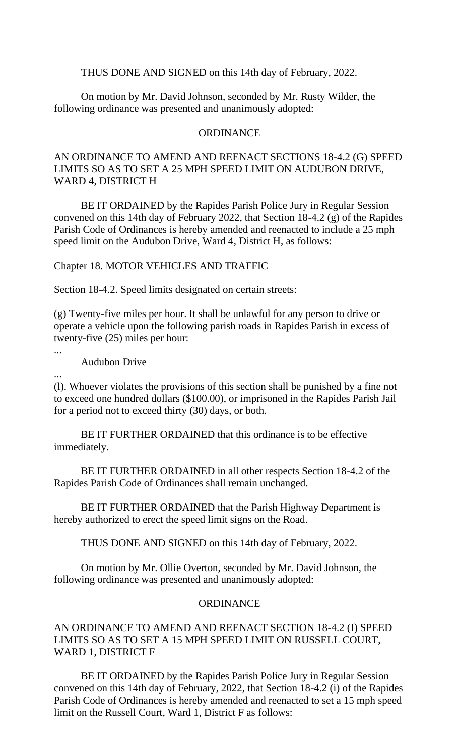THUS DONE AND SIGNED on this 14th day of February, 2022.

On motion by Mr. David Johnson, seconded by Mr. Rusty Wilder, the following ordinance was presented and unanimously adopted:

#### **ORDINANCE**

## AN ORDINANCE TO AMEND AND REENACT SECTIONS 18-4.2 (G) SPEED LIMITS SO AS TO SET A 25 MPH SPEED LIMIT ON AUDUBON DRIVE, WARD 4, DISTRICT H

BE IT ORDAINED by the Rapides Parish Police Jury in Regular Session convened on this 14th day of February 2022, that Section 18-4.2 (g) of the Rapides Parish Code of Ordinances is hereby amended and reenacted to include a 25 mph speed limit on the Audubon Drive, Ward 4, District H, as follows:

Chapter 18. MOTOR VEHICLES AND TRAFFIC

Section 18-4.2. Speed limits designated on certain streets:

(g) Twenty-five miles per hour. It shall be unlawful for any person to drive or operate a vehicle upon the following parish roads in Rapides Parish in excess of twenty-five (25) miles per hour:

...

...

Audubon Drive

(l). Whoever violates the provisions of this section shall be punished by a fine not to exceed one hundred dollars (\$100.00), or imprisoned in the Rapides Parish Jail for a period not to exceed thirty (30) days, or both.

BE IT FURTHER ORDAINED that this ordinance is to be effective immediately.

BE IT FURTHER ORDAINED in all other respects Section 18-4.2 of the Rapides Parish Code of Ordinances shall remain unchanged.

BE IT FURTHER ORDAINED that the Parish Highway Department is hereby authorized to erect the speed limit signs on the Road.

THUS DONE AND SIGNED on this 14th day of February, 2022.

On motion by Mr. Ollie Overton, seconded by Mr. David Johnson, the following ordinance was presented and unanimously adopted:

### **ORDINANCE**

AN ORDINANCE TO AMEND AND REENACT SECTION 18-4.2 (I) SPEED LIMITS SO AS TO SET A 15 MPH SPEED LIMIT ON RUSSELL COURT, WARD 1, DISTRICT F

BE IT ORDAINED by the Rapides Parish Police Jury in Regular Session convened on this 14th day of February, 2022, that Section 18-4.2 (i) of the Rapides Parish Code of Ordinances is hereby amended and reenacted to set a 15 mph speed limit on the Russell Court, Ward 1, District F as follows: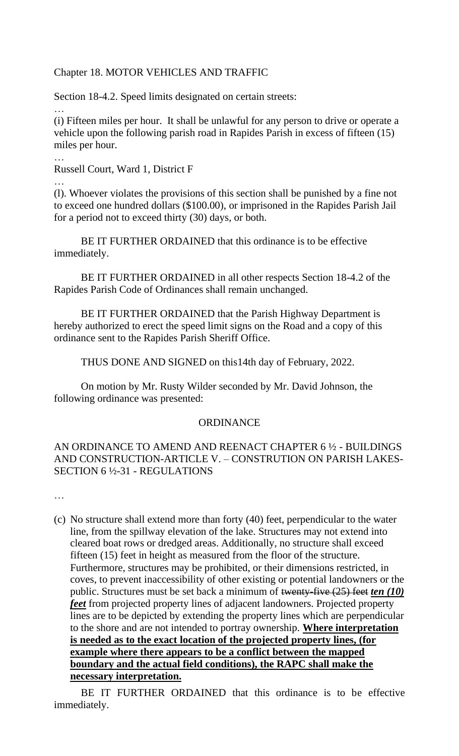# Chapter 18. MOTOR VEHICLES AND TRAFFIC

Section 18-4.2. Speed limits designated on certain streets:

… (i) Fifteen miles per hour. It shall be unlawful for any person to drive or operate a vehicle upon the following parish road in Rapides Parish in excess of fifteen (15) miles per hour.

Russell Court, Ward 1, District F

…

…

(l). Whoever violates the provisions of this section shall be punished by a fine not to exceed one hundred dollars (\$100.00), or imprisoned in the Rapides Parish Jail for a period not to exceed thirty (30) days, or both.

BE IT FURTHER ORDAINED that this ordinance is to be effective immediately.

BE IT FURTHER ORDAINED in all other respects Section 18-4.2 of the Rapides Parish Code of Ordinances shall remain unchanged.

BE IT FURTHER ORDAINED that the Parish Highway Department is hereby authorized to erect the speed limit signs on the Road and a copy of this ordinance sent to the Rapides Parish Sheriff Office.

THUS DONE AND SIGNED on this14th day of February, 2022.

On motion by Mr. Rusty Wilder seconded by Mr. David Johnson, the following ordinance was presented:

#### **ORDINANCE**

# AN ORDINANCE TO AMEND AND REENACT CHAPTER 6 ½ - BUILDINGS AND CONSTRUCTION-ARTICLE V. – CONSTRUTION ON PARISH LAKES-SECTION 6 ½-31 - REGULATIONS

…<br>……

(c) No structure shall extend more than forty (40) feet, perpendicular to the water line, from the spillway elevation of the lake. Structures may not extend into cleared boat rows or dredged areas. Additionally, no structure shall exceed fifteen (15) feet in height as measured from the floor of the structure. Furthermore, structures may be prohibited, or their dimensions restricted, in coves, to prevent inaccessibility of other existing or potential landowners or the public. Structures must be set back a minimum of twenty-five (25) feet *ten (10) feet* from projected property lines of adjacent landowners. Projected property lines are to be depicted by extending the property lines which are perpendicular to the shore and are not intended to portray ownership. **Where interpretation is needed as to the exact location of the projected property lines, (for example where there appears to be a conflict between the mapped boundary and the actual field conditions), the RAPC shall make the necessary interpretation.**

BE IT FURTHER ORDAINED that this ordinance is to be effective immediately.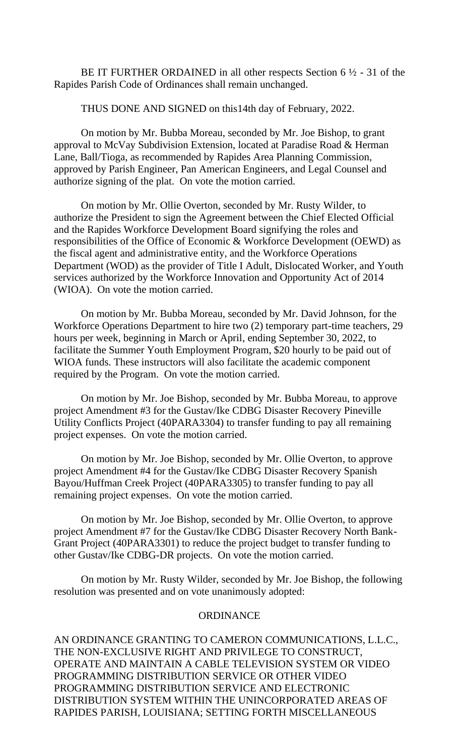BE IT FURTHER ORDAINED in all other respects Section  $6\frac{1}{2}$  - 31 of the Rapides Parish Code of Ordinances shall remain unchanged.

THUS DONE AND SIGNED on this14th day of February, 2022.

On motion by Mr. Bubba Moreau, seconded by Mr. Joe Bishop, to grant approval to McVay Subdivision Extension, located at Paradise Road & Herman Lane, Ball/Tioga, as recommended by Rapides Area Planning Commission, approved by Parish Engineer, Pan American Engineers, and Legal Counsel and authorize signing of the plat. On vote the motion carried.

On motion by Mr. Ollie Overton, seconded by Mr. Rusty Wilder, to authorize the President to sign the Agreement between the Chief Elected Official and the Rapides Workforce Development Board signifying the roles and responsibilities of the Office of Economic & Workforce Development (OEWD) as the fiscal agent and administrative entity, and the Workforce Operations Department (WOD) as the provider of Title I Adult, Dislocated Worker, and Youth services authorized by the Workforce Innovation and Opportunity Act of 2014 (WIOA). On vote the motion carried.

On motion by Mr. Bubba Moreau, seconded by Mr. David Johnson, for the Workforce Operations Department to hire two (2) temporary part-time teachers, 29 hours per week, beginning in March or April, ending September 30, 2022, to facilitate the Summer Youth Employment Program, \$20 hourly to be paid out of WIOA funds. These instructors will also facilitate the academic component required by the Program. On vote the motion carried.

On motion by Mr. Joe Bishop, seconded by Mr. Bubba Moreau, to approve project Amendment #3 for the Gustav/Ike CDBG Disaster Recovery Pineville Utility Conflicts Project (40PARA3304) to transfer funding to pay all remaining project expenses. On vote the motion carried.

On motion by Mr. Joe Bishop, seconded by Mr. Ollie Overton, to approve project Amendment #4 for the Gustav/Ike CDBG Disaster Recovery Spanish Bayou/Huffman Creek Project (40PARA3305) to transfer funding to pay all remaining project expenses. On vote the motion carried.

On motion by Mr. Joe Bishop, seconded by Mr. Ollie Overton, to approve project Amendment #7 for the Gustav/Ike CDBG Disaster Recovery North Bank-Grant Project (40PARA3301) to reduce the project budget to transfer funding to other Gustav/Ike CDBG-DR projects. On vote the motion carried.

On motion by Mr. Rusty Wilder, seconded by Mr. Joe Bishop, the following resolution was presented and on vote unanimously adopted:

#### **ORDINANCE**

AN ORDINANCE GRANTING TO CAMERON COMMUNICATIONS, L.L.C., THE NON-EXCLUSIVE RIGHT AND PRIVILEGE TO CONSTRUCT, OPERATE AND MAINTAIN A CABLE TELEVISION SYSTEM OR VIDEO PROGRAMMING DISTRIBUTION SERVICE OR OTHER VIDEO PROGRAMMING DISTRIBUTION SERVICE AND ELECTRONIC DISTRIBUTION SYSTEM WITHIN THE UNINCORPORATED AREAS OF RAPIDES PARISH, LOUISIANA; SETTING FORTH MISCELLANEOUS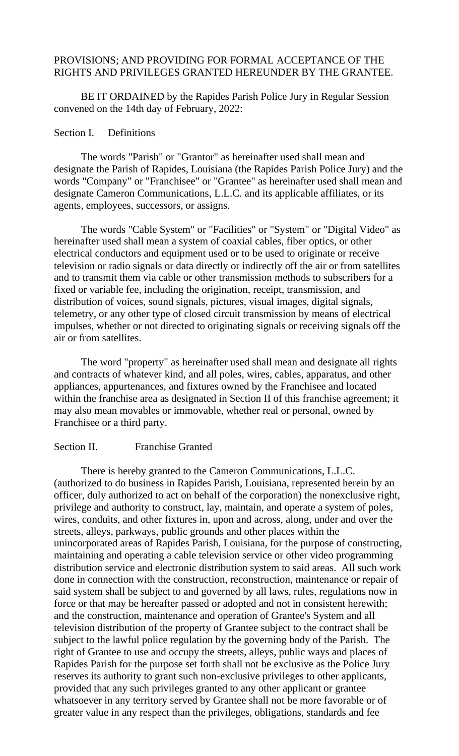# PROVISIONS; AND PROVIDING FOR FORMAL ACCEPTANCE OF THE RIGHTS AND PRIVILEGES GRANTED HEREUNDER BY THE GRANTEE.

BE IT ORDAINED by the Rapides Parish Police Jury in Regular Session convened on the 14th day of February, 2022:

#### Section I. Definitions

The words "Parish" or "Grantor" as hereinafter used shall mean and designate the Parish of Rapides, Louisiana (the Rapides Parish Police Jury) and the words "Company" or "Franchisee" or "Grantee" as hereinafter used shall mean and designate Cameron Communications, L.L.C. and its applicable affiliates, or its agents, employees, successors, or assigns.

The words "Cable System" or "Facilities" or "System" or "Digital Video" as hereinafter used shall mean a system of coaxial cables, fiber optics, or other electrical conductors and equipment used or to be used to originate or receive television or radio signals or data directly or indirectly off the air or from satellites and to transmit them via cable or other transmission methods to subscribers for a fixed or variable fee, including the origination, receipt, transmission, and distribution of voices, sound signals, pictures, visual images, digital signals, telemetry, or any other type of closed circuit transmission by means of electrical impulses, whether or not directed to originating signals or receiving signals off the air or from satellites.

The word "property" as hereinafter used shall mean and designate all rights and contracts of whatever kind, and all poles, wires, cables, apparatus, and other appliances, appurtenances, and fixtures owned by the Franchisee and located within the franchise area as designated in Section II of this franchise agreement; it may also mean movables or immovable, whether real or personal, owned by Franchisee or a third party.

#### Section II. Franchise Granted

There is hereby granted to the Cameron Communications, L.L.C. (authorized to do business in Rapides Parish, Louisiana, represented herein by an officer, duly authorized to act on behalf of the corporation) the nonexclusive right, privilege and authority to construct, lay, maintain, and operate a system of poles, wires, conduits, and other fixtures in, upon and across, along, under and over the streets, alleys, parkways, public grounds and other places within the unincorporated areas of Rapides Parish, Louisiana, for the purpose of constructing, maintaining and operating a cable television service or other video programming distribution service and electronic distribution system to said areas. All such work done in connection with the construction, reconstruction, maintenance or repair of said system shall be subject to and governed by all laws, rules, regulations now in force or that may be hereafter passed or adopted and not in consistent herewith; and the construction, maintenance and operation of Grantee's System and all television distribution of the property of Grantee subject to the contract shall be subject to the lawful police regulation by the governing body of the Parish. The right of Grantee to use and occupy the streets, alleys, public ways and places of Rapides Parish for the purpose set forth shall not be exclusive as the Police Jury reserves its authority to grant such non-exclusive privileges to other applicants, provided that any such privileges granted to any other applicant or grantee whatsoever in any territory served by Grantee shall not be more favorable or of greater value in any respect than the privileges, obligations, standards and fee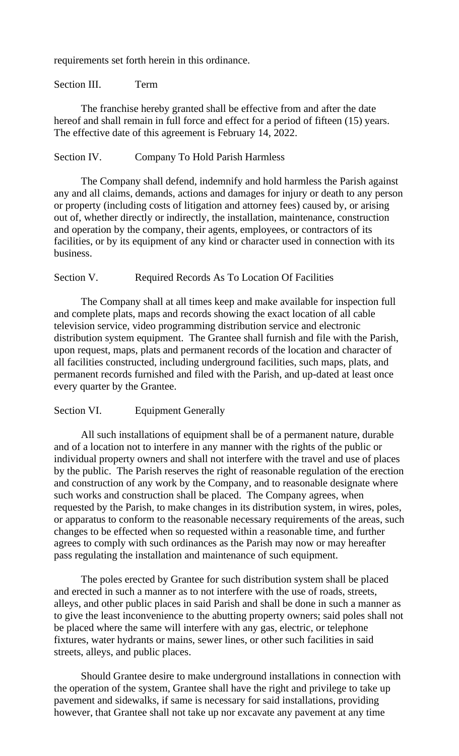requirements set forth herein in this ordinance.

#### Section III. Term

The franchise hereby granted shall be effective from and after the date hereof and shall remain in full force and effect for a period of fifteen (15) years. The effective date of this agreement is February 14, 2022.

### Section IV. Company To Hold Parish Harmless

The Company shall defend, indemnify and hold harmless the Parish against any and all claims, demands, actions and damages for injury or death to any person or property (including costs of litigation and attorney fees) caused by, or arising out of, whether directly or indirectly, the installation, maintenance, construction and operation by the company, their agents, employees, or contractors of its facilities, or by its equipment of any kind or character used in connection with its business.

# Section V. Required Records As To Location Of Facilities

The Company shall at all times keep and make available for inspection full and complete plats, maps and records showing the exact location of all cable television service, video programming distribution service and electronic distribution system equipment. The Grantee shall furnish and file with the Parish, upon request, maps, plats and permanent records of the location and character of all facilities constructed, including underground facilities, such maps, plats, and permanent records furnished and filed with the Parish, and up-dated at least once every quarter by the Grantee.

# Section VI. Equipment Generally

All such installations of equipment shall be of a permanent nature, durable and of a location not to interfere in any manner with the rights of the public or individual property owners and shall not interfere with the travel and use of places by the public. The Parish reserves the right of reasonable regulation of the erection and construction of any work by the Company, and to reasonable designate where such works and construction shall be placed. The Company agrees, when requested by the Parish, to make changes in its distribution system, in wires, poles, or apparatus to conform to the reasonable necessary requirements of the areas, such changes to be effected when so requested within a reasonable time, and further agrees to comply with such ordinances as the Parish may now or may hereafter pass regulating the installation and maintenance of such equipment.

The poles erected by Grantee for such distribution system shall be placed and erected in such a manner as to not interfere with the use of roads, streets, alleys, and other public places in said Parish and shall be done in such a manner as to give the least inconvenience to the abutting property owners; said poles shall not be placed where the same will interfere with any gas, electric, or telephone fixtures, water hydrants or mains, sewer lines, or other such facilities in said streets, alleys, and public places.

Should Grantee desire to make underground installations in connection with the operation of the system, Grantee shall have the right and privilege to take up pavement and sidewalks, if same is necessary for said installations, providing however, that Grantee shall not take up nor excavate any pavement at any time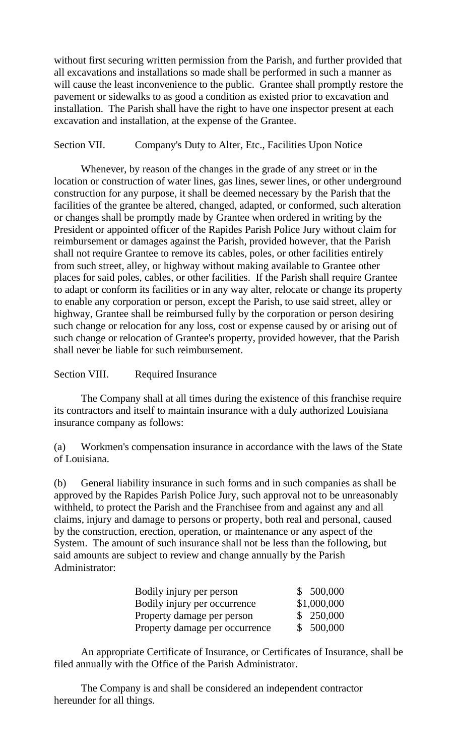without first securing written permission from the Parish, and further provided that all excavations and installations so made shall be performed in such a manner as will cause the least inconvenience to the public. Grantee shall promptly restore the pavement or sidewalks to as good a condition as existed prior to excavation and installation. The Parish shall have the right to have one inspector present at each excavation and installation, at the expense of the Grantee.

# Section VII. Company's Duty to Alter, Etc., Facilities Upon Notice

Whenever, by reason of the changes in the grade of any street or in the location or construction of water lines, gas lines, sewer lines, or other underground construction for any purpose, it shall be deemed necessary by the Parish that the facilities of the grantee be altered, changed, adapted, or conformed, such alteration or changes shall be promptly made by Grantee when ordered in writing by the President or appointed officer of the Rapides Parish Police Jury without claim for reimbursement or damages against the Parish, provided however, that the Parish shall not require Grantee to remove its cables, poles, or other facilities entirely from such street, alley, or highway without making available to Grantee other places for said poles, cables, or other facilities. If the Parish shall require Grantee to adapt or conform its facilities or in any way alter, relocate or change its property to enable any corporation or person, except the Parish, to use said street, alley or highway, Grantee shall be reimbursed fully by the corporation or person desiring such change or relocation for any loss, cost or expense caused by or arising out of such change or relocation of Grantee's property, provided however, that the Parish shall never be liable for such reimbursement.

## Section VIII. Required Insurance

The Company shall at all times during the existence of this franchise require its contractors and itself to maintain insurance with a duly authorized Louisiana insurance company as follows:

(a) Workmen's compensation insurance in accordance with the laws of the State of Louisiana.

(b) General liability insurance in such forms and in such companies as shall be approved by the Rapides Parish Police Jury, such approval not to be unreasonably withheld, to protect the Parish and the Franchisee from and against any and all claims, injury and damage to persons or property, both real and personal, caused by the construction, erection, operation, or maintenance or any aspect of the System. The amount of such insurance shall not be less than the following, but said amounts are subject to review and change annually by the Parish Administrator:

| Bodily injury per person       | \$ 500,000  |
|--------------------------------|-------------|
| Bodily injury per occurrence   | \$1,000,000 |
| Property damage per person     | \$250,000   |
| Property damage per occurrence | \$ 500,000  |

An appropriate Certificate of Insurance, or Certificates of Insurance, shall be filed annually with the Office of the Parish Administrator.

The Company is and shall be considered an independent contractor hereunder for all things.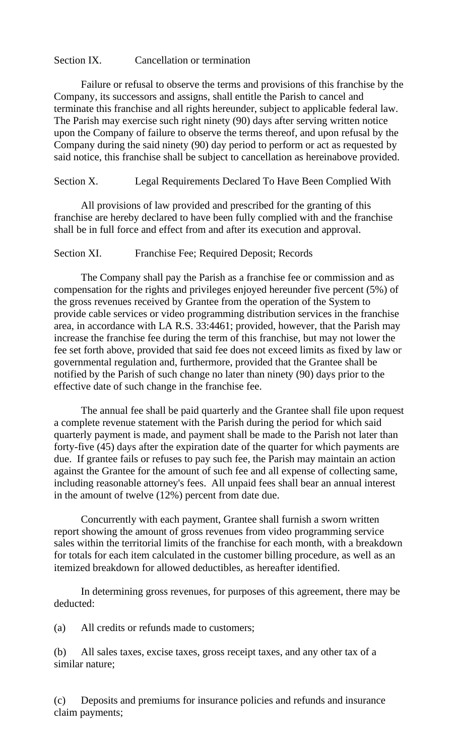## Section IX. Cancellation or termination

Failure or refusal to observe the terms and provisions of this franchise by the Company, its successors and assigns, shall entitle the Parish to cancel and terminate this franchise and all rights hereunder, subject to applicable federal law. The Parish may exercise such right ninety (90) days after serving written notice upon the Company of failure to observe the terms thereof, and upon refusal by the Company during the said ninety (90) day period to perform or act as requested by said notice, this franchise shall be subject to cancellation as hereinabove provided.

Section X. Legal Requirements Declared To Have Been Complied With

All provisions of law provided and prescribed for the granting of this franchise are hereby declared to have been fully complied with and the franchise shall be in full force and effect from and after its execution and approval.

Section XI. Franchise Fee; Required Deposit; Records

The Company shall pay the Parish as a franchise fee or commission and as compensation for the rights and privileges enjoyed hereunder five percent (5%) of the gross revenues received by Grantee from the operation of the System to provide cable services or video programming distribution services in the franchise area, in accordance with LA R.S. 33:4461; provided, however, that the Parish may increase the franchise fee during the term of this franchise, but may not lower the fee set forth above, provided that said fee does not exceed limits as fixed by law or governmental regulation and, furthermore, provided that the Grantee shall be notified by the Parish of such change no later than ninety (90) days prior to the effective date of such change in the franchise fee.

The annual fee shall be paid quarterly and the Grantee shall file upon request a complete revenue statement with the Parish during the period for which said quarterly payment is made, and payment shall be made to the Parish not later than forty-five (45) days after the expiration date of the quarter for which payments are due. If grantee fails or refuses to pay such fee, the Parish may maintain an action against the Grantee for the amount of such fee and all expense of collecting same, including reasonable attorney's fees. All unpaid fees shall bear an annual interest in the amount of twelve (12%) percent from date due.

Concurrently with each payment, Grantee shall furnish a sworn written report showing the amount of gross revenues from video programming service sales within the territorial limits of the franchise for each month, with a breakdown for totals for each item calculated in the customer billing procedure, as well as an itemized breakdown for allowed deductibles, as hereafter identified.

In determining gross revenues, for purposes of this agreement, there may be deducted:

(a) All credits or refunds made to customers;

(b) All sales taxes, excise taxes, gross receipt taxes, and any other tax of a similar nature;

(c) Deposits and premiums for insurance policies and refunds and insurance claim payments;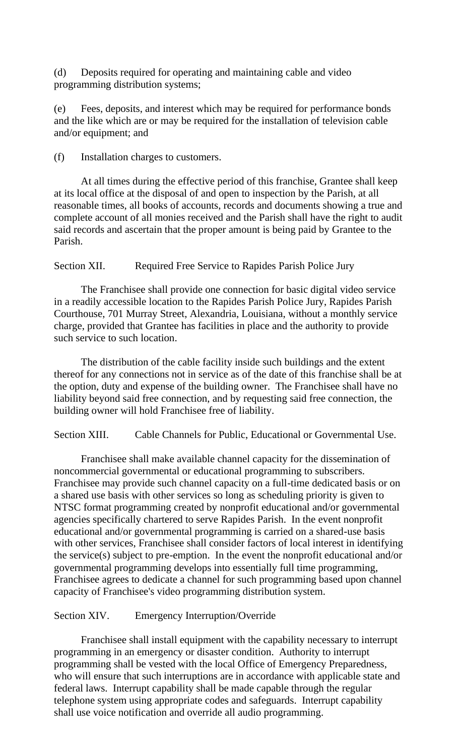(d) Deposits required for operating and maintaining cable and video programming distribution systems;

(e) Fees, deposits, and interest which may be required for performance bonds and the like which are or may be required for the installation of television cable and/or equipment; and

(f) Installation charges to customers.

At all times during the effective period of this franchise, Grantee shall keep at its local office at the disposal of and open to inspection by the Parish, at all reasonable times, all books of accounts, records and documents showing a true and complete account of all monies received and the Parish shall have the right to audit said records and ascertain that the proper amount is being paid by Grantee to the Parish.

Section XII. Required Free Service to Rapides Parish Police Jury

The Franchisee shall provide one connection for basic digital video service in a readily accessible location to the Rapides Parish Police Jury, Rapides Parish Courthouse, 701 Murray Street, Alexandria, Louisiana, without a monthly service charge, provided that Grantee has facilities in place and the authority to provide such service to such location.

The distribution of the cable facility inside such buildings and the extent thereof for any connections not in service as of the date of this franchise shall be at the option, duty and expense of the building owner. The Franchisee shall have no liability beyond said free connection, and by requesting said free connection, the building owner will hold Franchisee free of liability.

Section XIII. Cable Channels for Public, Educational or Governmental Use.

Franchisee shall make available channel capacity for the dissemination of noncommercial governmental or educational programming to subscribers. Franchisee may provide such channel capacity on a full-time dedicated basis or on a shared use basis with other services so long as scheduling priority is given to NTSC format programming created by nonprofit educational and/or governmental agencies specifically chartered to serve Rapides Parish. In the event nonprofit educational and/or governmental programming is carried on a shared-use basis with other services, Franchisee shall consider factors of local interest in identifying the service(s) subject to pre-emption. In the event the nonprofit educational and/or governmental programming develops into essentially full time programming, Franchisee agrees to dedicate a channel for such programming based upon channel capacity of Franchisee's video programming distribution system.

Section XIV. Emergency Interruption/Override

Franchisee shall install equipment with the capability necessary to interrupt programming in an emergency or disaster condition. Authority to interrupt programming shall be vested with the local Office of Emergency Preparedness, who will ensure that such interruptions are in accordance with applicable state and federal laws. Interrupt capability shall be made capable through the regular telephone system using appropriate codes and safeguards. Interrupt capability shall use voice notification and override all audio programming.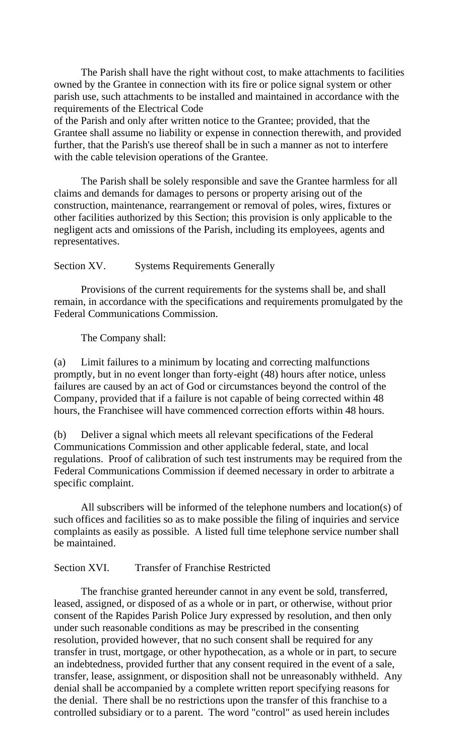The Parish shall have the right without cost, to make attachments to facilities owned by the Grantee in connection with its fire or police signal system or other parish use, such attachments to be installed and maintained in accordance with the requirements of the Electrical Code

of the Parish and only after written notice to the Grantee; provided, that the Grantee shall assume no liability or expense in connection therewith, and provided further, that the Parish's use thereof shall be in such a manner as not to interfere with the cable television operations of the Grantee.

The Parish shall be solely responsible and save the Grantee harmless for all claims and demands for damages to persons or property arising out of the construction, maintenance, rearrangement or removal of poles, wires, fixtures or other facilities authorized by this Section; this provision is only applicable to the negligent acts and omissions of the Parish, including its employees, agents and representatives.

### Section XV. Systems Requirements Generally

Provisions of the current requirements for the systems shall be, and shall remain, in accordance with the specifications and requirements promulgated by the Federal Communications Commission.

The Company shall:

(a) Limit failures to a minimum by locating and correcting malfunctions promptly, but in no event longer than forty-eight (48) hours after notice, unless failures are caused by an act of God or circumstances beyond the control of the Company, provided that if a failure is not capable of being corrected within 48 hours, the Franchisee will have commenced correction efforts within 48 hours.

(b) Deliver a signal which meets all relevant specifications of the Federal Communications Commission and other applicable federal, state, and local regulations. Proof of calibration of such test instruments may be required from the Federal Communications Commission if deemed necessary in order to arbitrate a specific complaint.

All subscribers will be informed of the telephone numbers and location(s) of such offices and facilities so as to make possible the filing of inquiries and service complaints as easily as possible. A listed full time telephone service number shall be maintained.

Section XVI. Transfer of Franchise Restricted

The franchise granted hereunder cannot in any event be sold, transferred, leased, assigned, or disposed of as a whole or in part, or otherwise, without prior consent of the Rapides Parish Police Jury expressed by resolution, and then only under such reasonable conditions as may be prescribed in the consenting resolution, provided however, that no such consent shall be required for any transfer in trust, mortgage, or other hypothecation, as a whole or in part, to secure an indebtedness, provided further that any consent required in the event of a sale, transfer, lease, assignment, or disposition shall not be unreasonably withheld. Any denial shall be accompanied by a complete written report specifying reasons for the denial. There shall be no restrictions upon the transfer of this franchise to a controlled subsidiary or to a parent. The word "control" as used herein includes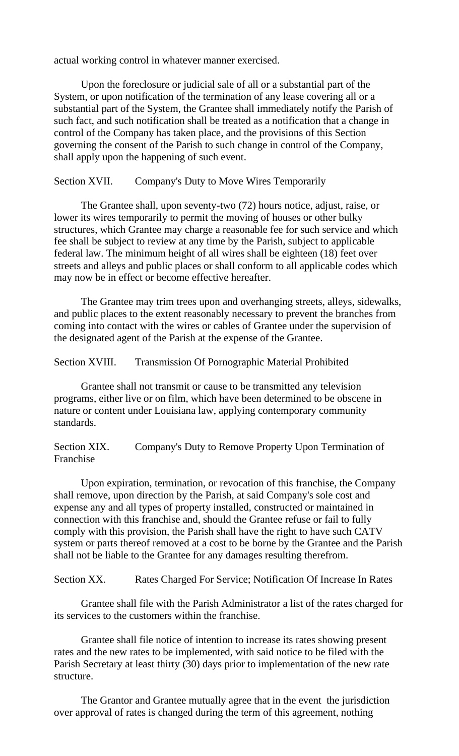actual working control in whatever manner exercised.

Upon the foreclosure or judicial sale of all or a substantial part of the System, or upon notification of the termination of any lease covering all or a substantial part of the System, the Grantee shall immediately notify the Parish of such fact, and such notification shall be treated as a notification that a change in control of the Company has taken place, and the provisions of this Section governing the consent of the Parish to such change in control of the Company, shall apply upon the happening of such event.

## Section XVII. Company's Duty to Move Wires Temporarily

The Grantee shall, upon seventy-two (72) hours notice, adjust, raise, or lower its wires temporarily to permit the moving of houses or other bulky structures, which Grantee may charge a reasonable fee for such service and which fee shall be subject to review at any time by the Parish, subject to applicable federal law. The minimum height of all wires shall be eighteen (18) feet over streets and alleys and public places or shall conform to all applicable codes which may now be in effect or become effective hereafter.

The Grantee may trim trees upon and overhanging streets, alleys, sidewalks, and public places to the extent reasonably necessary to prevent the branches from coming into contact with the wires or cables of Grantee under the supervision of the designated agent of the Parish at the expense of the Grantee.

Section XVIII. Transmission Of Pornographic Material Prohibited

Grantee shall not transmit or cause to be transmitted any television programs, either live or on film, which have been determined to be obscene in nature or content under Louisiana law, applying contemporary community standards.

Section XIX. Company's Duty to Remove Property Upon Termination of Franchise

Upon expiration, termination, or revocation of this franchise, the Company shall remove, upon direction by the Parish, at said Company's sole cost and expense any and all types of property installed, constructed or maintained in connection with this franchise and, should the Grantee refuse or fail to fully comply with this provision, the Parish shall have the right to have such CATV system or parts thereof removed at a cost to be borne by the Grantee and the Parish shall not be liable to the Grantee for any damages resulting therefrom.

Section XX. Rates Charged For Service; Notification Of Increase In Rates

Grantee shall file with the Parish Administrator a list of the rates charged for its services to the customers within the franchise.

Grantee shall file notice of intention to increase its rates showing present rates and the new rates to be implemented, with said notice to be filed with the Parish Secretary at least thirty (30) days prior to implementation of the new rate structure.

The Grantor and Grantee mutually agree that in the event the jurisdiction over approval of rates is changed during the term of this agreement, nothing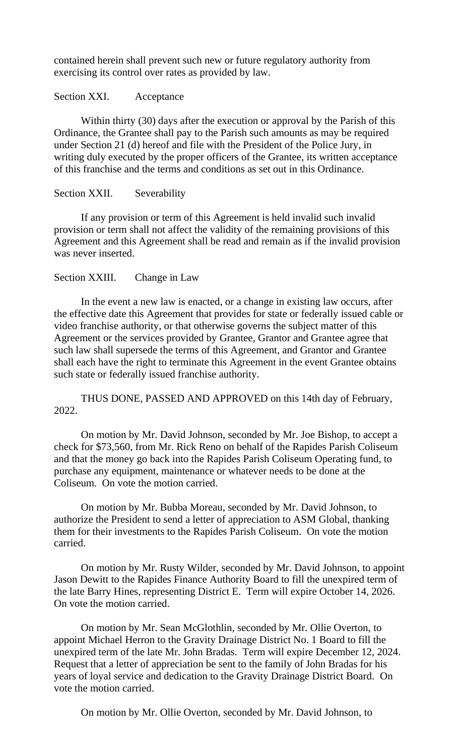contained herein shall prevent such new or future regulatory authority from exercising its control over rates as provided by law.

### Section XXI. Acceptance

Within thirty (30) days after the execution or approval by the Parish of this Ordinance, the Grantee shall pay to the Parish such amounts as may be required under Section 21 (d) hereof and file with the President of the Police Jury, in writing duly executed by the proper officers of the Grantee, its written acceptance of this franchise and the terms and conditions as set out in this Ordinance.

## Section XXII. Severability

If any provision or term of this Agreement is held invalid such invalid provision or term shall not affect the validity of the remaining provisions of this Agreement and this Agreement shall be read and remain as if the invalid provision was never inserted.

### Section XXIII. Change in Law

In the event a new law is enacted, or a change in existing law occurs, after the effective date this Agreement that provides for state or federally issued cable or video franchise authority, or that otherwise governs the subject matter of this Agreement or the services provided by Grantee, Grantor and Grantee agree that such law shall supersede the terms of this Agreement, and Grantor and Grantee shall each have the right to terminate this Agreement in the event Grantee obtains such state or federally issued franchise authority.

THUS DONE, PASSED AND APPROVED on this 14th day of February, 2022.

On motion by Mr. David Johnson, seconded by Mr. Joe Bishop, to accept a check for \$73,560, from Mr. Rick Reno on behalf of the Rapides Parish Coliseum and that the money go back into the Rapides Parish Coliseum Operating fund, to purchase any equipment, maintenance or whatever needs to be done at the Coliseum. On vote the motion carried.

On motion by Mr. Bubba Moreau, seconded by Mr. David Johnson, to authorize the President to send a letter of appreciation to ASM Global, thanking them for their investments to the Rapides Parish Coliseum. On vote the motion carried.

On motion by Mr. Rusty Wilder, seconded by Mr. David Johnson, to appoint Jason Dewitt to the Rapides Finance Authority Board to fill the unexpired term of the late Barry Hines, representing District E. Term will expire October 14, 2026. On vote the motion carried.

On motion by Mr. Sean McGlothlin, seconded by Mr. Ollie Overton, to appoint Michael Herron to the Gravity Drainage District No. 1 Board to fill the unexpired term of the late Mr. John Bradas. Term will expire December 12, 2024. Request that a letter of appreciation be sent to the family of John Bradas for his years of loyal service and dedication to the Gravity Drainage District Board. On vote the motion carried.

On motion by Mr. Ollie Overton, seconded by Mr. David Johnson, to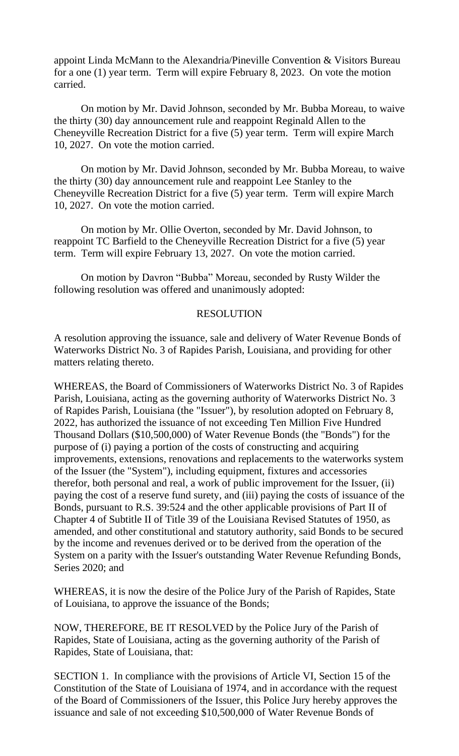appoint Linda McMann to the Alexandria/Pineville Convention & Visitors Bureau for a one (1) year term. Term will expire February 8, 2023. On vote the motion carried.

On motion by Mr. David Johnson, seconded by Mr. Bubba Moreau, to waive the thirty (30) day announcement rule and reappoint Reginald Allen to the Cheneyville Recreation District for a five (5) year term. Term will expire March 10, 2027. On vote the motion carried.

On motion by Mr. David Johnson, seconded by Mr. Bubba Moreau, to waive the thirty (30) day announcement rule and reappoint Lee Stanley to the Cheneyville Recreation District for a five (5) year term. Term will expire March 10, 2027. On vote the motion carried.

On motion by Mr. Ollie Overton, seconded by Mr. David Johnson, to reappoint TC Barfield to the Cheneyville Recreation District for a five (5) year term. Term will expire February 13, 2027. On vote the motion carried.

On motion by Davron "Bubba" Moreau, seconded by Rusty Wilder the following resolution was offered and unanimously adopted:

### RESOLUTION

A resolution approving the issuance, sale and delivery of Water Revenue Bonds of Waterworks District No. 3 of Rapides Parish, Louisiana, and providing for other matters relating thereto.

WHEREAS, the Board of Commissioners of Waterworks District No. 3 of Rapides Parish, Louisiana, acting as the governing authority of Waterworks District No. 3 of Rapides Parish, Louisiana (the "Issuer"), by resolution adopted on February 8, 2022, has authorized the issuance of not exceeding Ten Million Five Hundred Thousand Dollars (\$10,500,000) of Water Revenue Bonds (the "Bonds") for the purpose of (i) paying a portion of the costs of constructing and acquiring improvements, extensions, renovations and replacements to the waterworks system of the Issuer (the "System"), including equipment, fixtures and accessories therefor, both personal and real, a work of public improvement for the Issuer, (ii) paying the cost of a reserve fund surety, and (iii) paying the costs of issuance of the Bonds, pursuant to R.S. 39:524 and the other applicable provisions of Part II of Chapter 4 of Subtitle II of Title 39 of the Louisiana Revised Statutes of 1950, as amended, and other constitutional and statutory authority, said Bonds to be secured by the income and revenues derived or to be derived from the operation of the System on a parity with the Issuer's outstanding Water Revenue Refunding Bonds, Series 2020; and

WHEREAS, it is now the desire of the Police Jury of the Parish of Rapides, State of Louisiana, to approve the issuance of the Bonds;

NOW, THEREFORE, BE IT RESOLVED by the Police Jury of the Parish of Rapides, State of Louisiana, acting as the governing authority of the Parish of Rapides, State of Louisiana, that:

SECTION 1. In compliance with the provisions of Article VI, Section 15 of the Constitution of the State of Louisiana of 1974, and in accordance with the request of the Board of Commissioners of the Issuer, this Police Jury hereby approves the issuance and sale of not exceeding \$10,500,000 of Water Revenue Bonds of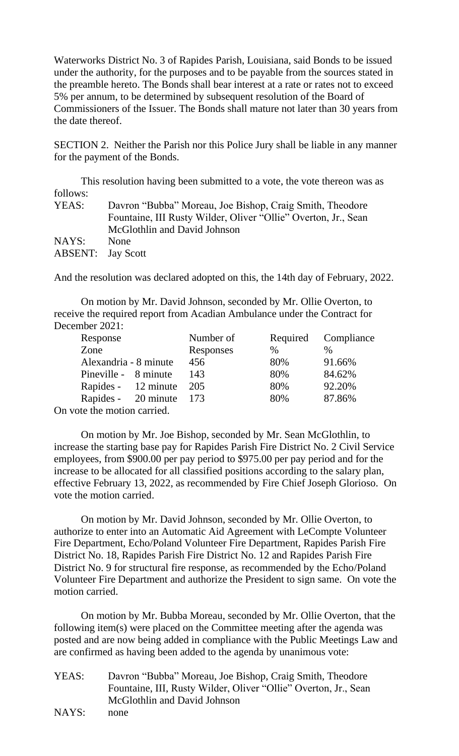Waterworks District No. 3 of Rapides Parish, Louisiana, said Bonds to be issued under the authority, for the purposes and to be payable from the sources stated in the preamble hereto. The Bonds shall bear interest at a rate or rates not to exceed 5% per annum, to be determined by subsequent resolution of the Board of Commissioners of the Issuer. The Bonds shall mature not later than 30 years from the date thereof.

SECTION 2. Neither the Parish nor this Police Jury shall be liable in any manner for the payment of the Bonds.

|                          | This resolution having been submitted to a vote, the vote thereon was as |
|--------------------------|--------------------------------------------------------------------------|
| follows:                 |                                                                          |
| YEAS:                    | Davron "Bubba" Moreau, Joe Bishop, Craig Smith, Theodore                 |
|                          | Fountaine, III Rusty Wilder, Oliver "Ollie" Overton, Jr., Sean           |
|                          | McGlothlin and David Johnson                                             |
| NAYS:                    | None                                                                     |
| <b>ABSENT:</b> Jay Scott |                                                                          |

And the resolution was declared adopted on this, the 14th day of February, 2022.

On motion by Mr. David Johnson, seconded by Mr. Ollie Overton, to receive the required report from Acadian Ambulance under the Contract for December 2021:

| Response               |                         | Number of |      | Required Compliance |
|------------------------|-------------------------|-----------|------|---------------------|
| Zone                   |                         | Responses | $\%$ | $\%$                |
| Alexandria - 8 minute  |                         | 456       | 80%  | 91.66%              |
| Pineville - 8 minute   |                         | 143       | 80%  | 84.62%              |
|                        | Rapides - 12 minute 205 |           | 80%  | 92.20%              |
|                        | Rapides - 20 minute 173 |           | 80%  | 87.86%              |
| ote the motion carried |                         |           |      |                     |

On vote the motion carried.

On motion by Mr. Joe Bishop, seconded by Mr. Sean McGlothlin, to increase the starting base pay for Rapides Parish Fire District No. 2 Civil Service employees, from \$900.00 per pay period to \$975.00 per pay period and for the increase to be allocated for all classified positions according to the salary plan, effective February 13, 2022, as recommended by Fire Chief Joseph Glorioso. On vote the motion carried.

On motion by Mr. David Johnson, seconded by Mr. Ollie Overton, to authorize to enter into an Automatic Aid Agreement with LeCompte Volunteer Fire Department, Echo/Poland Volunteer Fire Department, Rapides Parish Fire District No. 18, Rapides Parish Fire District No. 12 and Rapides Parish Fire District No. 9 for structural fire response, as recommended by the Echo/Poland Volunteer Fire Department and authorize the President to sign same. On vote the motion carried.

On motion by Mr. Bubba Moreau, seconded by Mr. Ollie Overton, that the following item(s) were placed on the Committee meeting after the agenda was posted and are now being added in compliance with the Public Meetings Law and are confirmed as having been added to the agenda by unanimous vote:

- YEAS: Davron "Bubba" Moreau, Joe Bishop, Craig Smith, Theodore Fountaine, III, Rusty Wilder, Oliver "Ollie" Overton, Jr., Sean McGlothlin and David Johnson
- NAYS: none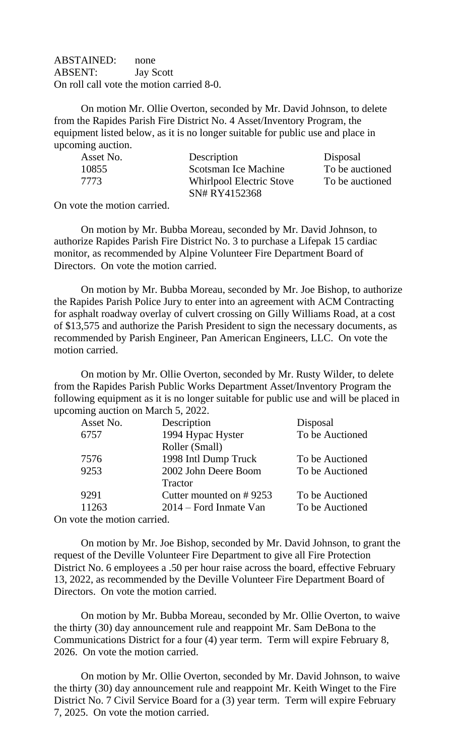ABSTAINED: none ABSENT: Jay Scott On roll call vote the motion carried 8-0.

On motion Mr. Ollie Overton, seconded by Mr. David Johnson, to delete from the Rapides Parish Fire District No. 4 Asset/Inventory Program, the equipment listed below, as it is no longer suitable for public use and place in upcoming auction.

| Asset No. | Description              | Disposal        |
|-----------|--------------------------|-----------------|
| 10855     | Scotsman Ice Machine     | To be auctioned |
| 7773      | Whirlpool Electric Stove | To be auctioned |
|           | SN# RY4152368            |                 |

On vote the motion carried.

On motion by Mr. Bubba Moreau, seconded by Mr. David Johnson, to authorize Rapides Parish Fire District No. 3 to purchase a Lifepak 15 cardiac monitor, as recommended by Alpine Volunteer Fire Department Board of Directors. On vote the motion carried.

On motion by Mr. Bubba Moreau, seconded by Mr. Joe Bishop, to authorize the Rapides Parish Police Jury to enter into an agreement with ACM Contracting for asphalt roadway overlay of culvert crossing on Gilly Williams Road, at a cost of \$13,575 and authorize the Parish President to sign the necessary documents, as recommended by Parish Engineer, Pan American Engineers, LLC. On vote the motion carried.

On motion by Mr. Ollie Overton, seconded by Mr. Rusty Wilder, to delete from the Rapides Parish Public Works Department Asset/Inventory Program the following equipment as it is no longer suitable for public use and will be placed in upcoming auction on March 5, 2022.

| Asset No.                             | Description             | Disposal        |  |
|---------------------------------------|-------------------------|-----------------|--|
| 6757                                  | 1994 Hypac Hyster       | To be Auctioned |  |
|                                       | Roller (Small)          |                 |  |
| 7576                                  | 1998 Intl Dump Truck    | To be Auctioned |  |
| 9253                                  | 2002 John Deere Boom    | To be Auctioned |  |
|                                       | Tractor                 |                 |  |
| 9291                                  | Cutter mounted on #9253 | To be Auctioned |  |
| 11263                                 | 2014 – Ford Inmate Van  | To be Auctioned |  |
| and the computation of a model of the |                         |                 |  |

On vote the motion carried.

On motion by Mr. Joe Bishop, seconded by Mr. David Johnson, to grant the request of the Deville Volunteer Fire Department to give all Fire Protection District No. 6 employees a .50 per hour raise across the board, effective February 13, 2022, as recommended by the Deville Volunteer Fire Department Board of Directors. On vote the motion carried.

On motion by Mr. Bubba Moreau, seconded by Mr. Ollie Overton, to waive the thirty (30) day announcement rule and reappoint Mr. Sam DeBona to the Communications District for a four (4) year term. Term will expire February 8, 2026. On vote the motion carried.

On motion by Mr. Ollie Overton, seconded by Mr. David Johnson, to waive the thirty (30) day announcement rule and reappoint Mr. Keith Winget to the Fire District No. 7 Civil Service Board for a (3) year term. Term will expire February 7, 2025. On vote the motion carried.